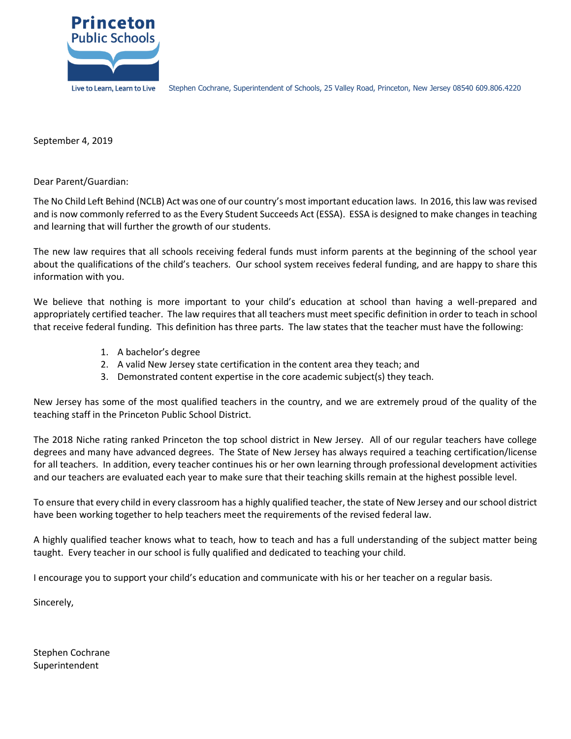

September 4, 2019

Dear Parent/Guardian:

The No Child Left Behind (NCLB) Act was one of our country's most important education laws. In 2016, this law was revised and is now commonly referred to as the Every Student Succeeds Act (ESSA). ESSA is designed to make changes in teaching and learning that will further the growth of our students.

The new law requires that all schools receiving federal funds must inform parents at the beginning of the school year about the qualifications of the child's teachers. Our school system receives federal funding, and are happy to share this information with you.

We believe that nothing is more important to your child's education at school than having a well-prepared and appropriately certified teacher. The law requires that all teachers must meet specific definition in order to teach in school that receive federal funding. This definition has three parts. The law states that the teacher must have the following:

- 1. A bachelor's degree
- 2. A valid New Jersey state certification in the content area they teach; and
- 3. Demonstrated content expertise in the core academic subject(s) they teach.

New Jersey has some of the most qualified teachers in the country, and we are extremely proud of the quality of the teaching staff in the Princeton Public School District.

The 2018 Niche rating ranked Princeton the top school district in New Jersey. All of our regular teachers have college degrees and many have advanced degrees. The State of New Jersey has always required a teaching certification/license for all teachers. In addition, every teacher continues his or her own learning through professional development activities and our teachers are evaluated each year to make sure that their teaching skills remain at the highest possible level.

To ensure that every child in every classroom has a highly qualified teacher, the state of New Jersey and our school district have been working together to help teachers meet the requirements of the revised federal law.

A highly qualified teacher knows what to teach, how to teach and has a full understanding of the subject matter being taught. Every teacher in our school is fully qualified and dedicated to teaching your child.

I encourage you to support your child's education and communicate with his or her teacher on a regular basis.

Sincerely,

Stephen Cochrane Superintendent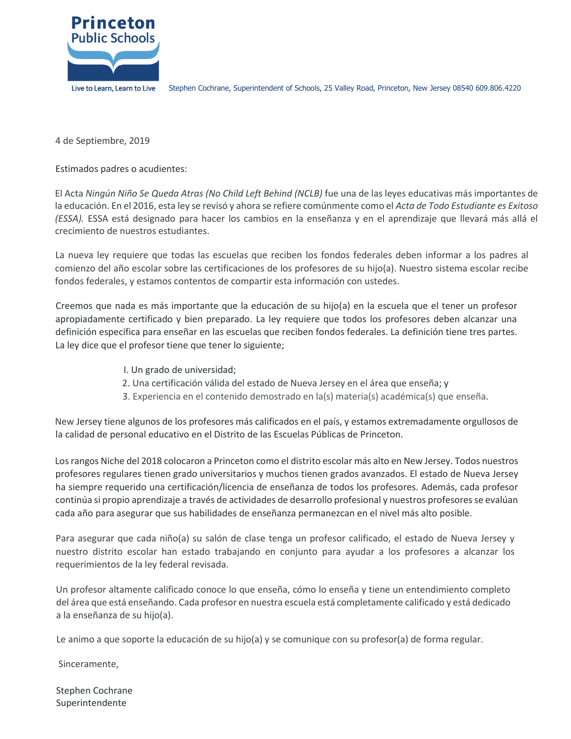

4 de Septiembre, 2019

Estimados padres o acudientes:

El Acta *Ningún Niño Se Queda Atras (No Child Left Behind (NCLB)* fue una de las leyes educativas más importantes de la educación. En el 2016, esta ley se revisó y ahora se refiere comúnmente como el *Acta de Todo Estudiante es Exitoso (ESSA).* ESSA está designado para hacer los cambios en la enseñanza y en el aprendizaje que llevará más allá el crecimiento de nuestros estudiantes.

La nueva ley requiere que todas las escuelas que reciben los fondos federales deben informar a los padres al comienzo del año escolar sobre las certificaciones de los profesores de su hijo(a). Nuestro sistema escolar recibe fondos federales, y estamos contentos de compartir esta información con ustedes.

Creemos que nada es más importante que la educación de su hijo(a) en la escuela que el tener un profesor apropiadamente certificado y bien preparado. La ley requiere que todos los profesores deben alcanzar una definición específica para enseñar en las escuelas que reciben fondos federales. La definición tiene tres partes. La ley dice que el profesor tiene que tener lo siguiente;

- I. Un grado de universidad;
- 2. Una certificación válida del estado de Nueva Jersey en el área que enseña; y
- 3. Experiencia en el contenido demostrado en la(s) materia(s) académica(s) que enseña.

New Jersey tiene algunos de los profesores más calificados en el país, y estamos extremadamente orgullosos de la calidad de personal educativo en el Distrito de las Escuelas Públicas de Princeton.

Los rangos Niche del 2018 colocaron a Princeton como el distrito escolar más alto en New Jersey. Todos nuestros profesores regulares tienen grado universitarios y muchos tienen grados avanzados. El estado de Nueva Jersey ha siempre requerido una certificación/licencia de enseñanza de todos los profesores. Además, cada profesor continúa si propio aprendizaje a través de actividades de desarrollo profesional y nuestros profesores se evalúan cada año para asegurar que sus habilidades de enseñanza permanezcan en el nivel más alto posible.

Para asegurar que cada niño(a) su salón de clase tenga un profesor calificado, el estado de Nueva Jersey y nuestro distrito escolar han estado trabajando en conjunto para ayudar a los profesores a alcanzar los requerimientos de la ley federal revisada.

Un profesor altamente calificado conoce lo que enseña, cómo lo enseña y tiene un entendimiento completo del área que está enseñando. Cada profesor en nuestra escuela está completamente calificado y está dedicado a la enseñanza de su hijo(a).

Le animo a que soporte la educación de su hijo(a) y se comunique con su profesor(a) de forma regular.

Sinceramente,

Stephen Cochrane Superintendente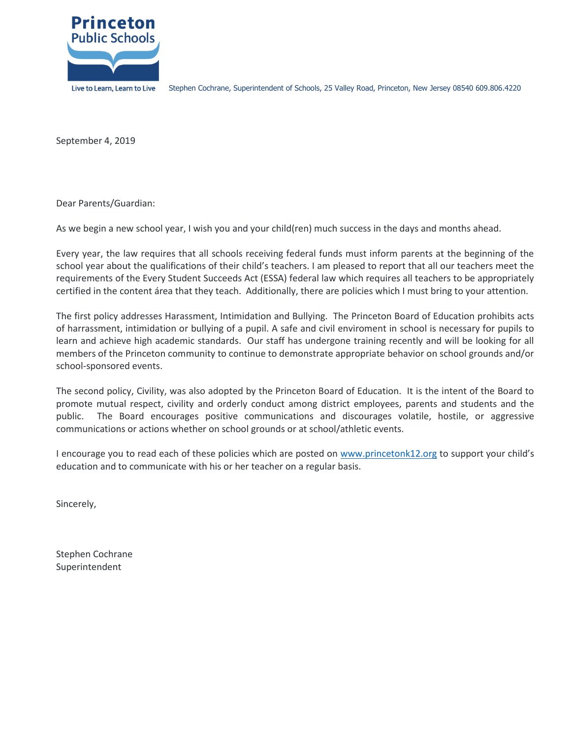

September 4, 2019

Dear Parents/Guardian:

As we begin a new school year, I wish you and your child(ren) much success in the days and months ahead.

Every year, the law requires that all schools receiving federal funds must inform parents at the beginning of the school year about the qualifications of their child's teachers. I am pleased to report that all our teachers meet the requirements of the Every Student Succeeds Act (ESSA) federal law which requires all teachers to be appropriately certified in the content área that they teach. Additionally, there are policies which I must bring to your attention.

The first policy addresses Harassment, Intimidation and Bullying. The Princeton Board of Education prohibits acts of harrassment, intimidation or bullying of a pupil. A safe and civil enviroment in school is necessary for pupils to learn and achieve high academic standards. Our staff has undergone training recently and will be looking for all members of the Princeton community to continue to demonstrate appropriate behavior on school grounds and/or school-sponsored events.

The second policy, Civility, was also adopted by the Princeton Board of Education. It is the intent of the Board to promote mutual respect, civility and orderly conduct among district employees, parents and students and the public. The Board encourages positive communications and discourages volatile, hostile, or aggressive communications or actions whether on school grounds or at school/athletic events.

I encourage you to read each of these policies which are posted on [www.princetonk12.org](http://www.princetonk12.org/) to support your child's education and to communicate with his or her teacher on a regular basis.

Sincerely,

Stephen Cochrane Superintendent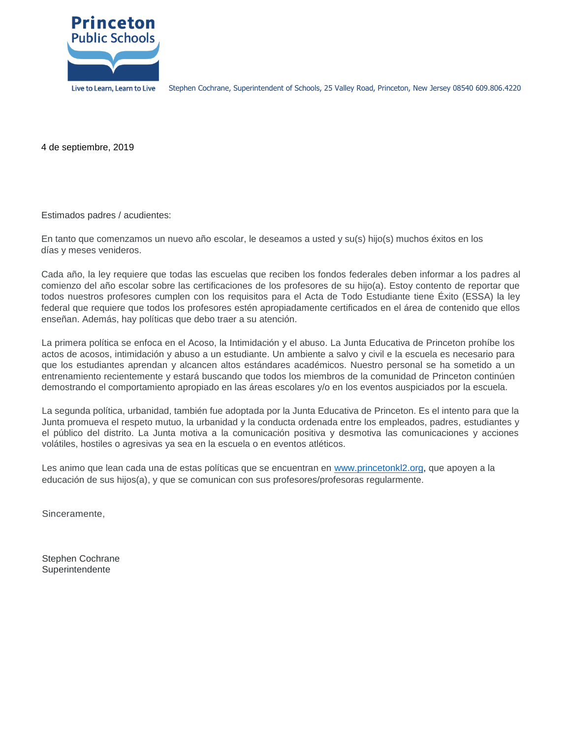

4 de septiembre, 2019

Estimados padres / acudientes:

En tanto que comenzamos un nuevo año escolar, le deseamos a usted y su(s) hijo(s) muchos éxitos en los días y meses venideros.

Cada año, la ley requiere que todas las escuelas que reciben los fondos federales deben informar a los padres al comienzo del año escolar sobre las certificaciones de los profesores de su hijo(a). Estoy contento de reportar que todos nuestros profesores cumplen con los requisitos para el Acta de Todo Estudiante tiene Éxito (ESSA) la ley federal que requiere que todos los profesores estén apropiadamente certificados en el área de contenido que ellos enseñan. Además, hay políticas que debo traer a su atención.

La primera política se enfoca en el Acoso, la Intimidación y el abuso. La Junta Educativa de Princeton prohíbe los actos de acosos, intimidación y abuso a un estudiante. Un ambiente a salvo y civil e la escuela es necesario para que los estudiantes aprendan y alcancen altos estándares académicos. Nuestro personal se ha sometido a un entrenamiento recientemente y estará buscando que todos los miembros de la comunidad de Princeton continúen demostrando el comportamiento apropiado en las áreas escolares y/o en los eventos auspiciados por la escuela.

La segunda política, urbanidad, también fue adoptada por la Junta Educativa de Princeton. Es el intento para que la Junta promueva el respeto mutuo, la urbanidad y la conducta ordenada entre los empleados, padres, estudiantes y el público del distrito. La Junta motiva a la comunicación positiva y desmotiva las comunicaciones y acciones volátiles, hostiles o agresivas ya sea en la escuela o en eventos atléticos.

Les animo que lean cada una de estas políticas que se encuentran en [www.princetonkl2.org,](http://www.princetonkl2.org/) que apoyen a la educación de sus hijos(a), y que se comunican con sus profesores/profesoras regularmente.

Sinceramente,

Stephen Cochrane Superintendente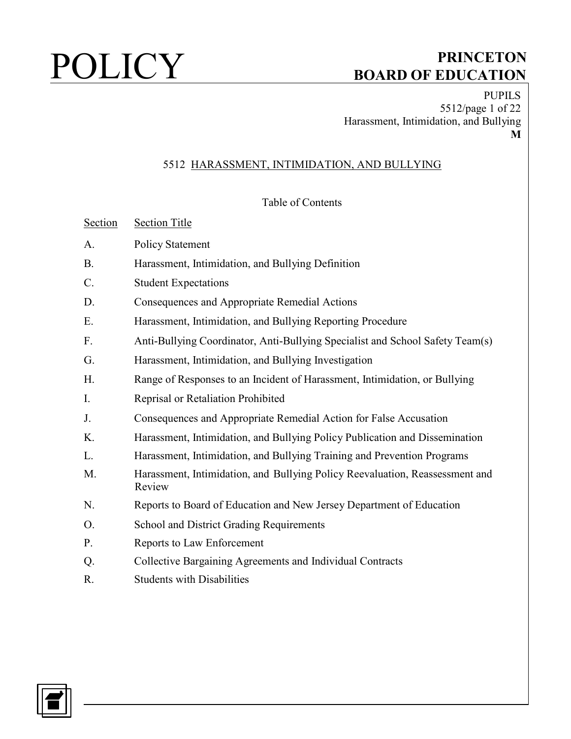PUPILS 5512/page 1 of 22 Harassment, Intimidation, and Bullying **M**

### 5512 HARASSMENT, INTIMIDATION, AND BULLYING

### Table of Contents

| Section | <b>Section Title</b> |  |
|---------|----------------------|--|
|         |                      |  |

- A. Policy Statement
- B. Harassment, Intimidation, and Bullying Definition
- C. Student Expectations
- D. Consequences and Appropriate Remedial Actions
- E. Harassment, Intimidation, and Bullying Reporting Procedure
- F. Anti-Bullying Coordinator, Anti-Bullying Specialist and School Safety Team(s)
- G. Harassment, Intimidation, and Bullying Investigation
- H. Range of Responses to an Incident of Harassment, Intimidation, or Bullying
- I. Reprisal or Retaliation Prohibited
- J. Consequences and Appropriate Remedial Action for False Accusation
- K. Harassment, Intimidation, and Bullying Policy Publication and Dissemination
- L. Harassment, Intimidation, and Bullying Training and Prevention Programs
- M. Harassment, Intimidation, and Bullying Policy Reevaluation, Reassessment and Review
- N. Reports to Board of Education and New Jersey Department of Education
- O. School and District Grading Requirements
- P. Reports to Law Enforcement
- Q. Collective Bargaining Agreements and Individual Contracts
- R. Students with Disabilities

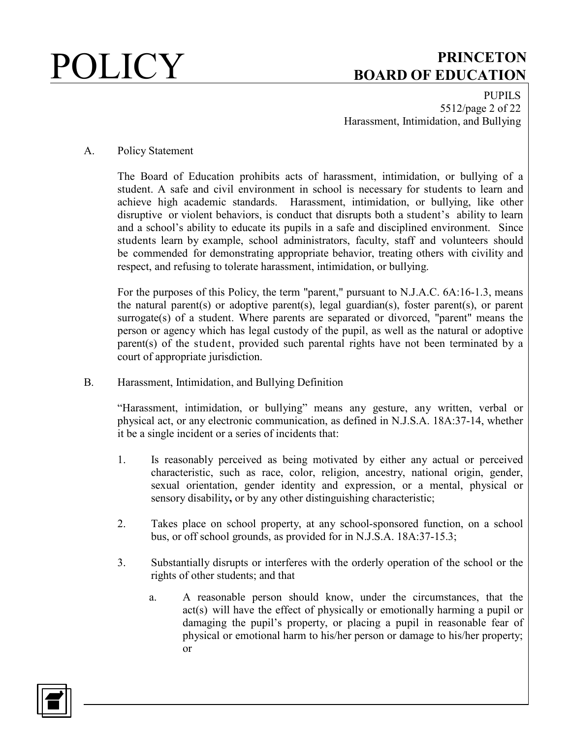PUPILS 5512/page 2 of 22 Harassment, Intimidation, and Bullying

### A. Policy Statement

The Board of Education prohibits acts of harassment, intimidation, or bullying of a student. A safe and civil environment in school is necessary for students to learn and achieve high academic standards. Harassment, intimidation, or bullying, like other disruptive or violent behaviors, is conduct that disrupts both a student's ability to learn and a school's ability to educate its pupils in a safe and disciplined environment. Since students learn by example, school administrators, faculty, staff and volunteers should be commended for demonstrating appropriate behavior, treating others with civility and respect, and refusing to tolerate harassment, intimidation, or bullying.

For the purposes of this Policy, the term "parent," pursuant to N.J.A.C. 6A:16-1.3, means the natural parent(s) or adoptive parent(s), legal guardian(s), foster parent(s), or parent surrogate(s) of a student. Where parents are separated or divorced, "parent" means the person or agency which has legal custody of the pupil, as well as the natural or adoptive parent(s) of the student, provided such parental rights have not been terminated by a court of appropriate jurisdiction.

B. Harassment, Intimidation, and Bullying Definition

"Harassment, intimidation, or bullying" means any gesture, any written, verbal or physical act, or any electronic communication, as defined in N.J.S.A. 18A:37-14, whether it be a single incident or a series of incidents that:

- 1. Is reasonably perceived as being motivated by either any actual or perceived characteristic, such as race, color, religion, ancestry, national origin, gender, sexual orientation, gender identity and expression, or a mental, physical or sensory disability**,** or by any other distinguishing characteristic;
- 2. Takes place on school property, at any school-sponsored function, on a school bus, or off school grounds, as provided for in N.J.S.A. 18A:37-15.3;
- 3. Substantially disrupts or interferes with the orderly operation of the school or the rights of other students; and that
	- a. A reasonable person should know, under the circumstances, that the act(s) will have the effect of physically or emotionally harming a pupil or damaging the pupil's property, or placing a pupil in reasonable fear of physical or emotional harm to his/her person or damage to his/her property; or

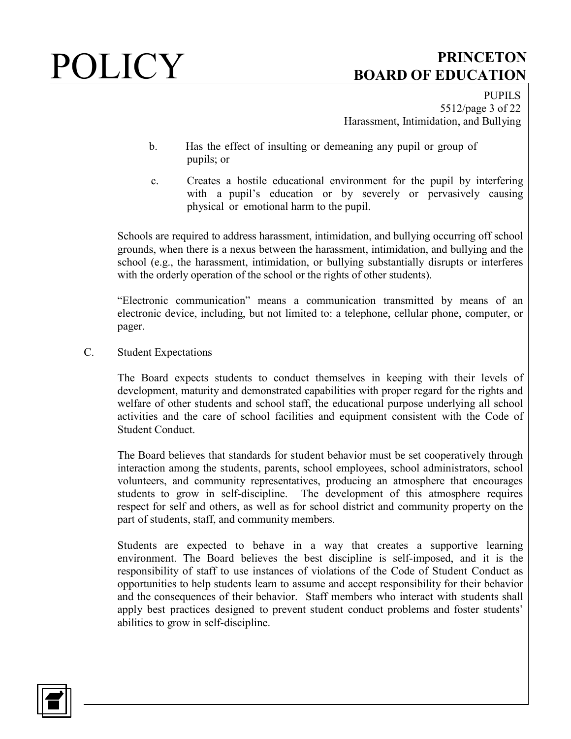PUPILS 5512/page 3 of 22 Harassment, Intimidation, and Bullying

- b. Has the effect of insulting or demeaning any pupil or group of pupils; or
- c. Creates a hostile educational environment for the pupil by interfering with a pupil's education or by severely or pervasively causing physical or emotional harm to the pupil.

Schools are required to address harassment, intimidation, and bullying occurring off school grounds, when there is a nexus between the harassment, intimidation, and bullying and the school (e.g., the harassment, intimidation, or bullying substantially disrupts or interferes with the orderly operation of the school or the rights of other students).

"Electronic communication" means a communication transmitted by means of an electronic device, including, but not limited to: a telephone, cellular phone, computer, or pager.

C. Student Expectations

The Board expects students to conduct themselves in keeping with their levels of development, maturity and demonstrated capabilities with proper regard for the rights and welfare of other students and school staff, the educational purpose underlying all school activities and the care of school facilities and equipment consistent with the Code of Student Conduct.

The Board believes that standards for student behavior must be set cooperatively through interaction among the students, parents, school employees, school administrators, school volunteers, and community representatives, producing an atmosphere that encourages students to grow in self-discipline. The development of this atmosphere requires respect for self and others, as well as for school district and community property on the part of students, staff, and community members.

Students are expected to behave in a way that creates a supportive learning environment. The Board believes the best discipline is self-imposed, and it is the responsibility of staff to use instances of violations of the Code of Student Conduct as opportunities to help students learn to assume and accept responsibility for their behavior and the consequences of their behavior. Staff members who interact with students shall apply best practices designed to prevent student conduct problems and foster students' abilities to grow in self-discipline.

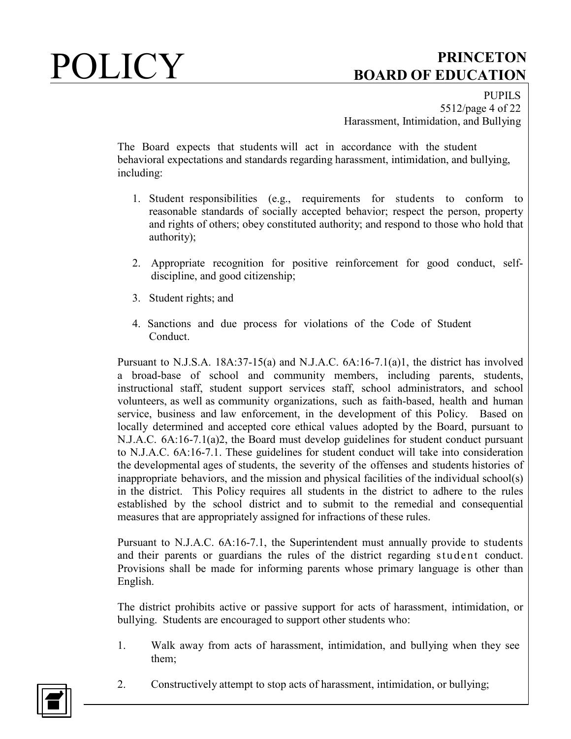PUPILS 5512/page 4 of 22 Harassment, Intimidation, and Bullying

The Board expects that students will act in accordance with the student behavioral expectations and standards regarding harassment, intimidation, and bullying, including:

- 1. Student responsibilities (e.g., requirements for students to conform to reasonable standards of socially accepted behavior; respect the person, property and rights of others; obey constituted authority; and respond to those who hold that authority);
- 2. Appropriate recognition for positive reinforcement for good conduct, selfdiscipline, and good citizenship;
- 3. Student rights; and
- 4. Sanctions and due process for violations of the Code of Student Conduct.

Pursuant to N.J.S.A. 18A:37-15(a) and N.J.A.C. 6A:16-7.1(a)1, the district has involved a broad-base of school and community members, including parents, students, instructional staff, student support services staff, school administrators, and school volunteers, as well as community organizations, such as faith-based, health and human service, business and law enforcement, in the development of this Policy. Based on locally determined and accepted core ethical values adopted by the Board, pursuant to N.J.A.C. 6A:16-7.1(a)2, the Board must develop guidelines for student conduct pursuant to N.J.A.C. 6A:16-7.1. These guidelines for student conduct will take into consideration the developmental ages of students, the severity of the offenses and students histories of inappropriate behaviors, and the mission and physical facilities of the individual school(s) in the district. This Policy requires all students in the district to adhere to the rules established by the school district and to submit to the remedial and consequential measures that are appropriately assigned for infractions of these rules.

Pursuant to N.J.A.C. 6A:16-7.1, the Superintendent must annually provide to students and their parents or guardians the rules of the district regarding student conduct. Provisions shall be made for informing parents whose primary language is other than English.

The district prohibits active or passive support for acts of harassment, intimidation, or bullying. Students are encouraged to support other students who:

1. Walk away from acts of harassment, intimidation, and bullying when they see them;



2. Constructively attempt to stop acts of harassment, intimidation, or bullying;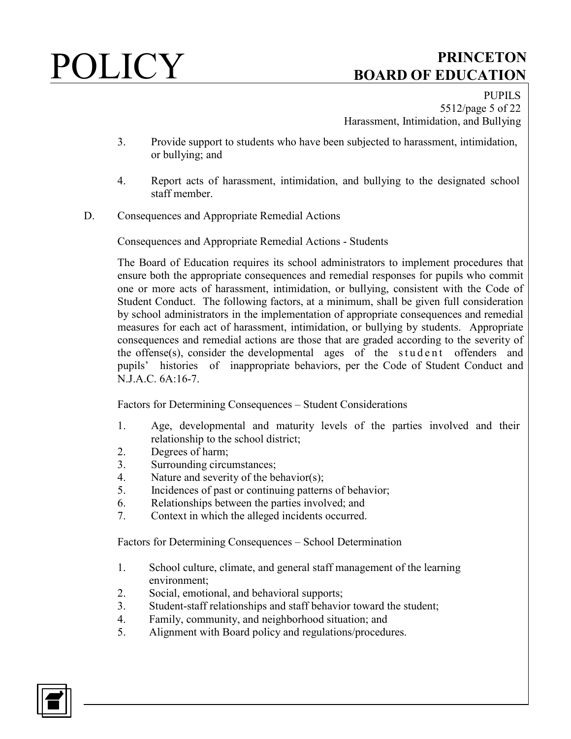PUPILS 5512/page 5 of 22 Harassment, Intimidation, and Bullying

- 3. Provide support to students who have been subjected to harassment, intimidation, or bullying; and
- 4. Report acts of harassment, intimidation, and bullying to the designated school staff member.
- D. Consequences and Appropriate Remedial Actions

Consequences and Appropriate Remedial Actions - Students

The Board of Education requires its school administrators to implement procedures that ensure both the appropriate consequences and remedial responses for pupils who commit one or more acts of harassment, intimidation, or bullying, consistent with the Code of Student Conduct. The following factors, at a minimum, shall be given full consideration by school administrators in the implementation of appropriate consequences and remedial measures for each act of harassment, intimidation, or bullying by students. Appropriate consequences and remedial actions are those that are graded according to the severity of the offense(s), consider the developmental ages of the student offenders and pupils' histories of inappropriate behaviors, per the Code of Student Conduct and N.J.A.C. 6A:16-7.

Factors for Determining Consequences – Student Considerations

- 1. Age, developmental and maturity levels of the parties involved and their relationship to the school district;
- 2. Degrees of harm;
- 3. Surrounding circumstances;
- 4. Nature and severity of the behavior(s);
- 5. Incidences of past or continuing patterns of behavior;
- 6. Relationships between the parties involved; and
- 7. Context in which the alleged incidents occurred.

Factors for Determining Consequences – School Determination

- 1. School culture, climate, and general staff management of the learning environment;
- 2. Social, emotional, and behavioral supports;
- 3. Student-staff relationships and staff behavior toward the student;
- 4. Family, community, and neighborhood situation; and
- 5. Alignment with Board policy and regulations/procedures.

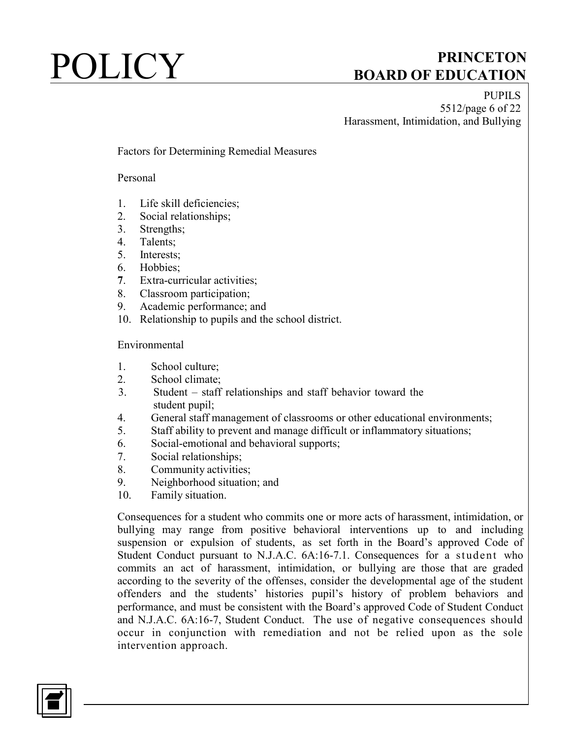PUPILS 5512/page 6 of 22 Harassment, Intimidation, and Bullying

### Factors for Determining Remedial Measures

### Personal

- 1. Life skill deficiencies;
- 2. Social relationships;
- 3. Strengths;
- 4. Talents;
- 5. Interests;
- 6. Hobbies;
- **7**. Extra-curricular activities;
- 8. Classroom participation;
- 9. Academic performance; and
- 10. Relationship to pupils and the school district.

### Environmental

- 1. School culture;
- 2. School climate;
- 3. Student staff relationships and staff behavior toward the student pupil;
- 4. General staff management of classrooms or other educational environments;
- 5. Staff ability to prevent and manage difficult or inflammatory situations;
- 6. Social-emotional and behavioral supports;
- 7. Social relationships;
- 8. Community activities;
- 9. Neighborhood situation; and
- 10. Family situation.

Consequences for a student who commits one or more acts of harassment, intimidation, or bullying may range from positive behavioral interventions up to and including suspension or expulsion of students, as set forth in the Board's approved Code of Student Conduct pursuant to N.J.A.C. 6A:16-7.1. Consequences for a student who commits an act of harassment, intimidation, or bullying are those that are graded according to the severity of the offenses, consider the developmental age of the student offenders and the students' histories pupil's history of problem behaviors and performance, and must be consistent with the Board's approved Code of Student Conduct and N.J.A.C. 6A:16-7, Student Conduct. The use of negative consequences should occur in conjunction with remediation and not be relied upon as the sole intervention approach.

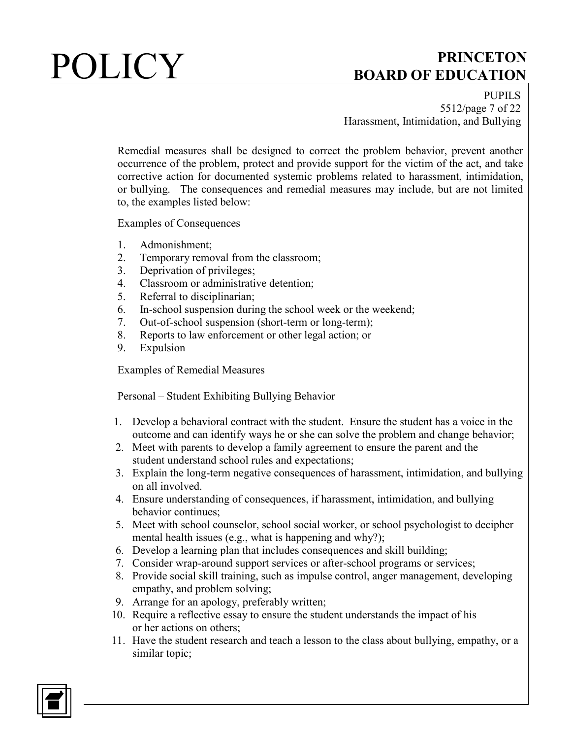PUPILS 5512/page 7 of 22 Harassment, Intimidation, and Bullying

Remedial measures shall be designed to correct the problem behavior, prevent another occurrence of the problem, protect and provide support for the victim of the act, and take corrective action for documented systemic problems related to harassment, intimidation, or bullying. The consequences and remedial measures may include, but are not limited to, the examples listed below:

Examples of Consequences

- 1. Admonishment;
- 2. Temporary removal from the classroom;
- 3. Deprivation of privileges;
- 4. Classroom or administrative detention;
- 5. Referral to disciplinarian;
- 6. In-school suspension during the school week or the weekend;
- 7. Out-of-school suspension (short-term or long-term);
- 8. Reports to law enforcement or other legal action; or
- 9. Expulsion

Examples of Remedial Measures

Personal – Student Exhibiting Bullying Behavior

- 1. Develop a behavioral contract with the student. Ensure the student has a voice in the outcome and can identify ways he or she can solve the problem and change behavior;
- 2. Meet with parents to develop a family agreement to ensure the parent and the student understand school rules and expectations;
- 3. Explain the long-term negative consequences of harassment, intimidation, and bullying on all involved.
- 4. Ensure understanding of consequences, if harassment, intimidation, and bullying behavior continues;
- 5. Meet with school counselor, school social worker, or school psychologist to decipher mental health issues (e.g., what is happening and why?);
- 6. Develop a learning plan that includes consequences and skill building;
- 7. Consider wrap-around support services or after-school programs or services;
- 8. Provide social skill training, such as impulse control, anger management, developing empathy, and problem solving;
- 9. Arrange for an apology, preferably written;
- 10. Require a reflective essay to ensure the student understands the impact of his or her actions on others;
- 11. Have the student research and teach a lesson to the class about bullying, empathy, or a similar topic;

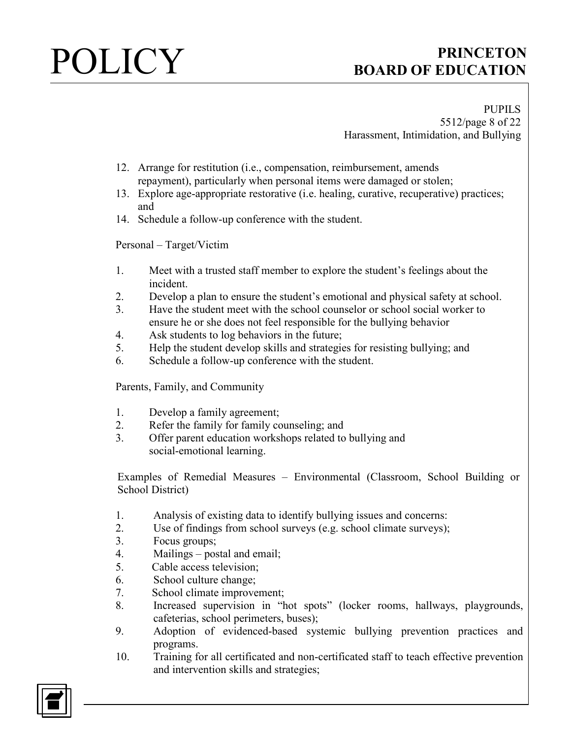PUPILS 5512/page 8 of 22 Harassment, Intimidation, and Bullying

- 12. Arrange for restitution (i.e., compensation, reimbursement, amends repayment), particularly when personal items were damaged or stolen;
- 13. Explore age-appropriate restorative (i.e. healing, curative, recuperative) practices; and
- 14. Schedule a follow-up conference with the student.

Personal – Target/Victim

- 1. Meet with a trusted staff member to explore the student's feelings about the incident.
- 2. Develop a plan to ensure the student's emotional and physical safety at school.
- 3. Have the student meet with the school counselor or school social worker to ensure he or she does not feel responsible for the bullying behavior
- 4. Ask students to log behaviors in the future;
- 5. Help the student develop skills and strategies for resisting bullying; and
- 6. Schedule a follow-up conference with the student.

Parents, Family, and Community

- 1. Develop a family agreement;
- 2. Refer the family for family counseling; and
- 3. Offer parent education workshops related to bullying and social-emotional learning.

Examples of Remedial Measures – Environmental (Classroom, School Building or School District)

- 1. Analysis of existing data to identify bullying issues and concerns:
- 2. Use of findings from school surveys (e.g. school climate surveys);
- 3. Focus groups;
- 4. Mailings postal and email;
- 5. Cable access television;
- 6. School culture change;
- 7. School climate improvement;
- 8. Increased supervision in "hot spots" (locker rooms, hallways, playgrounds, cafeterias, school perimeters, buses);
- 9. Adoption of evidenced-based systemic bullying prevention practices and programs.
- 10. Training for all certificated and non-certificated staff to teach effective prevention and intervention skills and strategies;

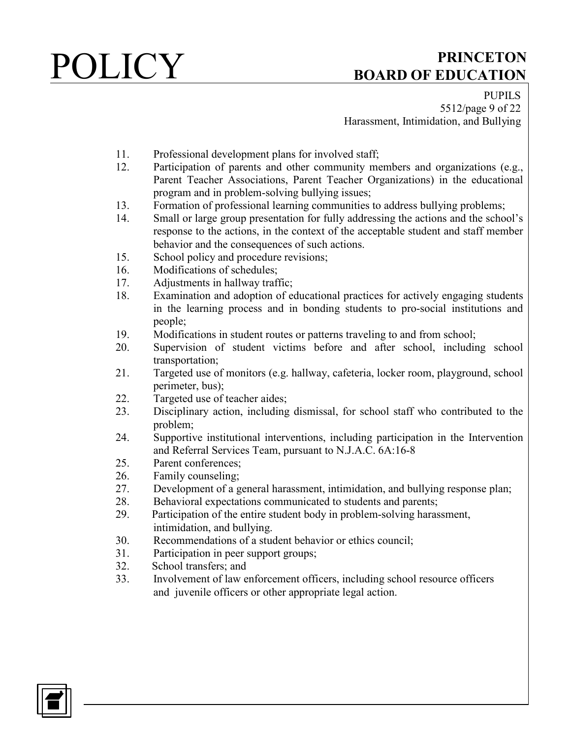PUPILS 5512/page 9 of 22 Harassment, Intimidation, and Bullying

- 11. Professional development plans for involved staff;
- 12. Participation of parents and other community members and organizations (e.g., Parent Teacher Associations, Parent Teacher Organizations) in the educational program and in problem-solving bullying issues;
- 13. Formation of professional learning communities to address bullying problems;
- 14. Small or large group presentation for fully addressing the actions and the school's response to the actions, in the context of the acceptable student and staff member behavior and the consequences of such actions.
- 15. School policy and procedure revisions;
- 16. Modifications of schedules;
- 17. Adjustments in hallway traffic;
- 18. Examination and adoption of educational practices for actively engaging students in the learning process and in bonding students to pro-social institutions and people;
- 19. Modifications in student routes or patterns traveling to and from school;
- 20. Supervision of student victims before and after school, including school transportation;
- 21. Targeted use of monitors (e.g. hallway, cafeteria, locker room, playground, school perimeter, bus);
- 22. Targeted use of teacher aides;
- 23. Disciplinary action, including dismissal, for school staff who contributed to the problem;
- 24. Supportive institutional interventions, including participation in the Intervention and Referral Services Team, pursuant to N.J.A.C. 6A:16-8
- 25. Parent conferences;
- 26. Family counseling;
- 27. Development of a general harassment, intimidation, and bullying response plan;
- 28. Behavioral expectations communicated to students and parents;
- 29. Participation of the entire student body in problem-solving harassment, intimidation, and bullying.
- 30. Recommendations of a student behavior or ethics council;
- 31. Participation in peer support groups;
- 32. School transfers; and
- 33. Involvement of law enforcement officers, including school resource officers and juvenile officers or other appropriate legal action.

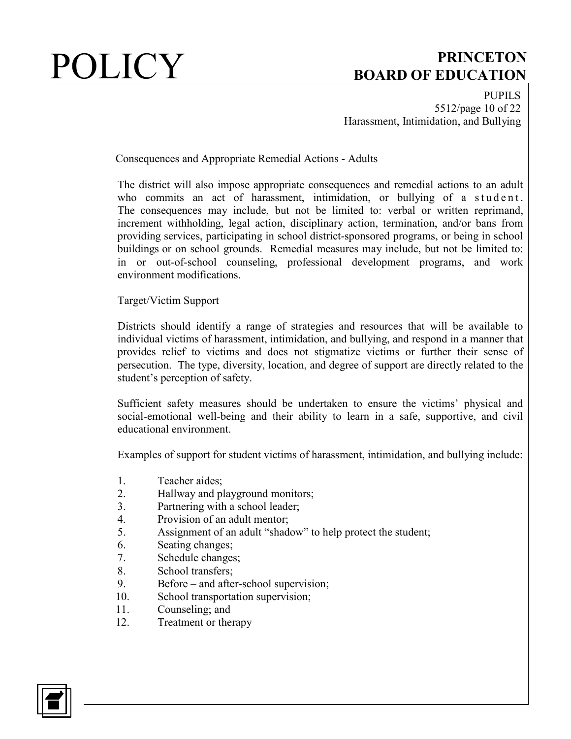PUPILS 5512/page 10 of 22 Harassment, Intimidation, and Bullying

Consequences and Appropriate Remedial Actions - Adults

The district will also impose appropriate consequences and remedial actions to an adult who commits an act of harassment, intimidation, or bullying of a student. The consequences may include, but not be limited to: verbal or written reprimand, increment withholding, legal action, disciplinary action, termination, and/or bans from providing services, participating in school district-sponsored programs, or being in school buildings or on school grounds. Remedial measures may include, but not be limited to: in or out-of-school counseling, professional development programs, and work environment modifications.

Target/Victim Support

Districts should identify a range of strategies and resources that will be available to individual victims of harassment, intimidation, and bullying, and respond in a manner that provides relief to victims and does not stigmatize victims or further their sense of persecution. The type, diversity, location, and degree of support are directly related to the student's perception of safety.

Sufficient safety measures should be undertaken to ensure the victims' physical and social-emotional well-being and their ability to learn in a safe, supportive, and civil educational environment.

Examples of support for student victims of harassment, intimidation, and bullying include:

- 1. Teacher aides;
- 2. Hallway and playground monitors;
- 3. Partnering with a school leader;
- 4. Provision of an adult mentor;
- 5. Assignment of an adult "shadow" to help protect the student;
- 6. Seating changes;
- 7. Schedule changes;
- 8. School transfers;
- 9. Before and after-school supervision;
- 10. School transportation supervision;
- 11. Counseling; and
- 12. Treatment or therapy

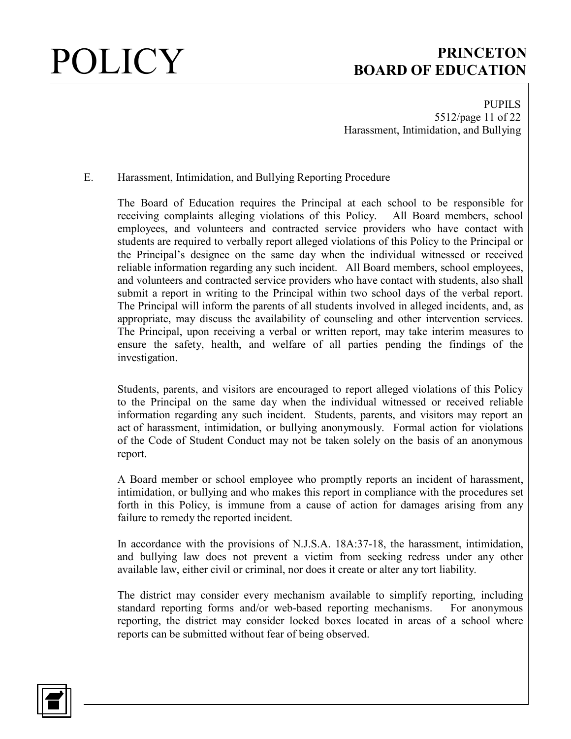PUPILS 5512/page 11 of 22 Harassment, Intimidation, and Bullying

### E. Harassment, Intimidation, and Bullying Reporting Procedure

The Board of Education requires the Principal at each school to be responsible for receiving complaints alleging violations of this Policy. All Board members, school employees, and volunteers and contracted service providers who have contact with students are required to verbally report alleged violations of this Policy to the Principal or the Principal's designee on the same day when the individual witnessed or received reliable information regarding any such incident. All Board members, school employees, and volunteers and contracted service providers who have contact with students, also shall submit a report in writing to the Principal within two school days of the verbal report. The Principal will inform the parents of all students involved in alleged incidents, and, as appropriate, may discuss the availability of counseling and other intervention services. The Principal, upon receiving a verbal or written report, may take interim measures to ensure the safety, health, and welfare of all parties pending the findings of the investigation.

Students, parents, and visitors are encouraged to report alleged violations of this Policy to the Principal on the same day when the individual witnessed or received reliable information regarding any such incident. Students, parents, and visitors may report an act of harassment, intimidation, or bullying anonymously. Formal action for violations of the Code of Student Conduct may not be taken solely on the basis of an anonymous report.

A Board member or school employee who promptly reports an incident of harassment, intimidation, or bullying and who makes this report in compliance with the procedures set forth in this Policy, is immune from a cause of action for damages arising from any failure to remedy the reported incident.

In accordance with the provisions of N.J.S.A. 18A:37-18, the harassment, intimidation, and bullying law does not prevent a victim from seeking redress under any other available law, either civil or criminal, nor does it create or alter any tort liability.

The district may consider every mechanism available to simplify reporting, including standard reporting forms and/or web-based reporting mechanisms. For anonymous reporting, the district may consider locked boxes located in areas of a school where reports can be submitted without fear of being observed.

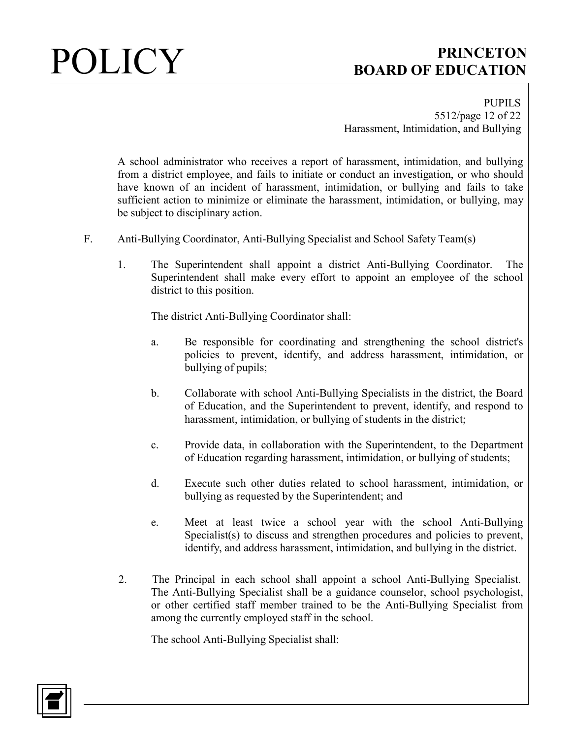PUPILS 5512/page 12 of 22 Harassment, Intimidation, and Bullying

A school administrator who receives a report of harassment, intimidation, and bullying from a district employee, and fails to initiate or conduct an investigation, or who should have known of an incident of harassment, intimidation, or bullying and fails to take sufficient action to minimize or eliminate the harassment, intimidation, or bullying, may be subject to disciplinary action.

- F. Anti-Bullying Coordinator, Anti-Bullying Specialist and School Safety Team(s)
	- 1. The Superintendent shall appoint a district Anti-Bullying Coordinator. The Superintendent shall make every effort to appoint an employee of the school district to this position.

The district Anti-Bullying Coordinator shall:

- a. Be responsible for coordinating and strengthening the school district's policies to prevent, identify, and address harassment, intimidation, or bullying of pupils;
- b. Collaborate with school Anti-Bullying Specialists in the district, the Board of Education, and the Superintendent to prevent, identify, and respond to harassment, intimidation, or bullying of students in the district;
- c. Provide data, in collaboration with the Superintendent, to the Department of Education regarding harassment, intimidation, or bullying of students;
- d. Execute such other duties related to school harassment, intimidation, or bullying as requested by the Superintendent; and
- e. Meet at least twice a school year with the school Anti-Bullying Specialist(s) to discuss and strengthen procedures and policies to prevent, identify, and address harassment, intimidation, and bullying in the district.
- 2. The Principal in each school shall appoint a school Anti-Bullying Specialist. The Anti-Bullying Specialist shall be a guidance counselor, school psychologist, or other certified staff member trained to be the Anti-Bullying Specialist from among the currently employed staff in the school.

The school Anti-Bullying Specialist shall:

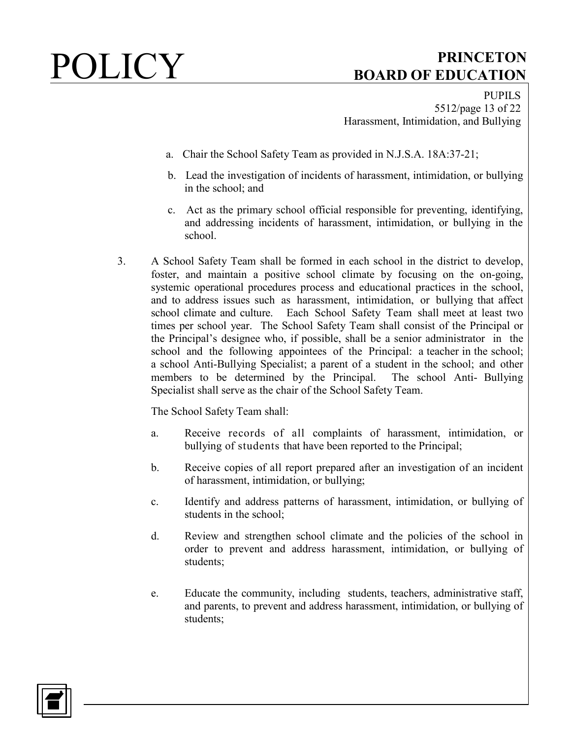PUPILS 5512/page 13 of 22 Harassment, Intimidation, and Bullying

- a. Chair the School Safety Team as provided in N.J.S.A. 18A:37-21;
- b. Lead the investigation of incidents of harassment, intimidation, or bullying in the school; and
- c. Act as the primary school official responsible for preventing, identifying, and addressing incidents of harassment, intimidation, or bullying in the school.
- 3. A School Safety Team shall be formed in each school in the district to develop, foster, and maintain a positive school climate by focusing on the on-going, systemic operational procedures process and educational practices in the school, and to address issues such as harassment, intimidation, or bullying that affect school climate and culture. Each School Safety Team shall meet at least two times per school year. The School Safety Team shall consist of the Principal or the Principal's designee who, if possible, shall be a senior administrator in the school and the following appointees of the Principal: a teacher in the school; a school Anti-Bullying Specialist; a parent of a student in the school; and other members to be determined by the Principal. The school Anti- Bullying Specialist shall serve as the chair of the School Safety Team.

The School Safety Team shall:

- a. Receive records of all complaints of harassment, intimidation, or bullying of students that have been reported to the Principal;
- b. Receive copies of all report prepared after an investigation of an incident of harassment, intimidation, or bullying;
- c. Identify and address patterns of harassment, intimidation, or bullying of students in the school;
- d. Review and strengthen school climate and the policies of the school in order to prevent and address harassment, intimidation, or bullying of students;
- e. Educate the community, including students, teachers, administrative staff, and parents, to prevent and address harassment, intimidation, or bullying of students;

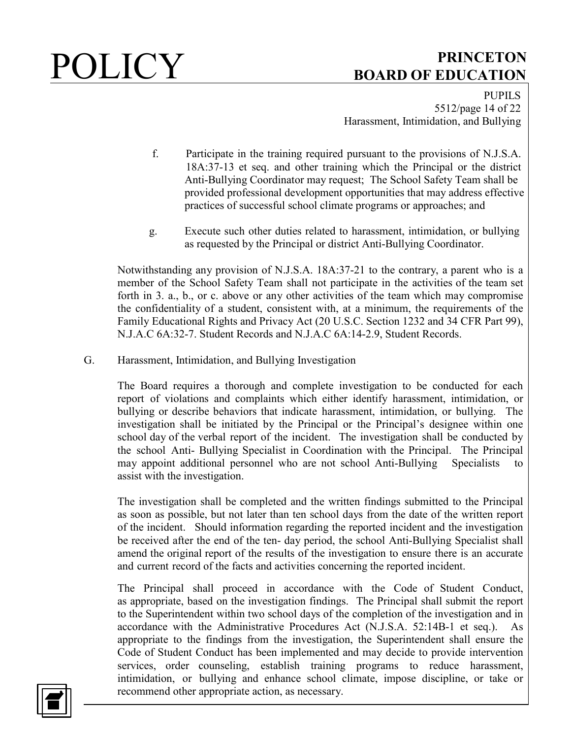PUPILS 5512/page 14 of 22 Harassment, Intimidation, and Bullying

- f. Participate in the training required pursuant to the provisions of N.J.S.A. 18A:37-13 et seq. and other training which the Principal or the district Anti-Bullying Coordinator may request; The School Safety Team shall be provided professional development opportunities that may address effective practices of successful school climate programs or approaches; and
- g. Execute such other duties related to harassment, intimidation, or bullying as requested by the Principal or district Anti-Bullying Coordinator.

Notwithstanding any provision of N.J.S.A. 18A:37-21 to the contrary, a parent who is a member of the School Safety Team shall not participate in the activities of the team set forth in 3. a., b., or c. above or any other activities of the team which may compromise the confidentiality of a student, consistent with, at a minimum, the requirements of the Family Educational Rights and Privacy Act (20 U.S.C. Section 1232 and 34 CFR Part 99), N.J.A.C 6A:32-7. Student Records and N.J.A.C 6A:14-2.9, Student Records.

G. Harassment, Intimidation, and Bullying Investigation

The Board requires a thorough and complete investigation to be conducted for each report of violations and complaints which either identify harassment, intimidation, or bullying or describe behaviors that indicate harassment, intimidation, or bullying. The investigation shall be initiated by the Principal or the Principal's designee within one school day of the verbal report of the incident. The investigation shall be conducted by the school Anti- Bullying Specialist in Coordination with the Principal. The Principal may appoint additional personnel who are not school Anti-Bullying Specialists to assist with the investigation.

The investigation shall be completed and the written findings submitted to the Principal as soon as possible, but not later than ten school days from the date of the written report of the incident. Should information regarding the reported incident and the investigation be received after the end of the ten- day period, the school Anti-Bullying Specialist shall amend the original report of the results of the investigation to ensure there is an accurate and current record of the facts and activities concerning the reported incident.

The Principal shall proceed in accordance with the Code of Student Conduct, as appropriate, based on the investigation findings. The Principal shall submit the report to the Superintendent within two school days of the completion of the investigation and in accordance with the Administrative Procedures Act (N.J.S.A. 52:14B-1 et seq.). As appropriate to the findings from the investigation, the Superintendent shall ensure the Code of Student Conduct has been implemented and may decide to provide intervention services, order counseling, establish training programs to reduce harassment, intimidation, or bullying and enhance school climate, impose discipline, or take or recommend other appropriate action, as necessary.

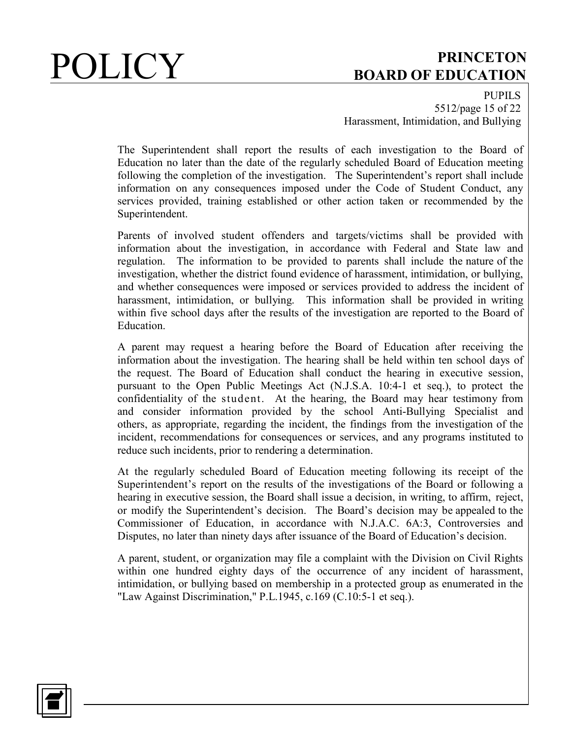PUPILS 5512/page 15 of 22 Harassment, Intimidation, and Bullying

The Superintendent shall report the results of each investigation to the Board of Education no later than the date of the regularly scheduled Board of Education meeting following the completion of the investigation. The Superintendent's report shall include information on any consequences imposed under the Code of Student Conduct, any services provided, training established or other action taken or recommended by the Superintendent.

Parents of involved student offenders and targets/victims shall be provided with information about the investigation, in accordance with Federal and State law and regulation. The information to be provided to parents shall include the nature of the investigation, whether the district found evidence of harassment, intimidation, or bullying, and whether consequences were imposed or services provided to address the incident of harassment, intimidation, or bullying. This information shall be provided in writing within five school days after the results of the investigation are reported to the Board of Education.

A parent may request a hearing before the Board of Education after receiving the information about the investigation. The hearing shall be held within ten school days of the request. The Board of Education shall conduct the hearing in executive session, pursuant to the Open Public Meetings Act (N.J.S.A. 10:4-1 et seq.), to protect the confidentiality of the student. At the hearing, the Board may hear testimony from and consider information provided by the school Anti-Bullying Specialist and others, as appropriate, regarding the incident, the findings from the investigation of the incident, recommendations for consequences or services, and any programs instituted to reduce such incidents, prior to rendering a determination.

At the regularly scheduled Board of Education meeting following its receipt of the Superintendent's report on the results of the investigations of the Board or following a hearing in executive session, the Board shall issue a decision, in writing, to affirm, reject, or modify the Superintendent's decision. The Board's decision may be appealed to the Commissioner of Education, in accordance with N.J.A.C. 6A:3, Controversies and Disputes, no later than ninety days after issuance of the Board of Education's decision.

A parent, student, or organization may file a complaint with the Division on Civil Rights within one hundred eighty days of the occurrence of any incident of harassment, intimidation, or bullying based on membership in a protected group as enumerated in the "Law Against Discrimination," P.L.1945, c.169 (C.10:5-1 et seq.).

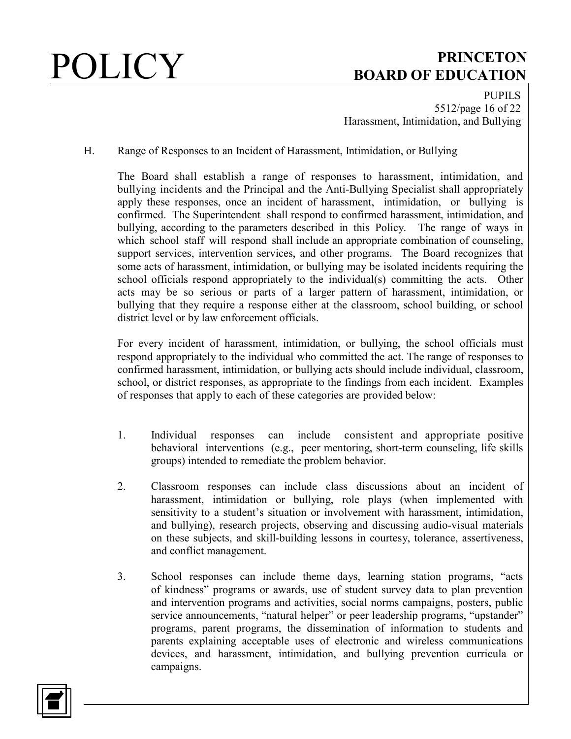PUPILS 5512/page 16 of 22 Harassment, Intimidation, and Bullying

H. Range of Responses to an Incident of Harassment, Intimidation, or Bullying

The Board shall establish a range of responses to harassment, intimidation, and bullying incidents and the Principal and the Anti-Bullying Specialist shall appropriately apply these responses, once an incident of harassment, intimidation, or bullying is confirmed. The Superintendent shall respond to confirmed harassment, intimidation, and bullying, according to the parameters described in this Policy. The range of ways in which school staff will respond shall include an appropriate combination of counseling, support services, intervention services, and other programs. The Board recognizes that some acts of harassment, intimidation, or bullying may be isolated incidents requiring the school officials respond appropriately to the individual(s) committing the acts. Other acts may be so serious or parts of a larger pattern of harassment, intimidation, or bullying that they require a response either at the classroom, school building, or school district level or by law enforcement officials.

For every incident of harassment, intimidation, or bullying, the school officials must respond appropriately to the individual who committed the act. The range of responses to confirmed harassment, intimidation, or bullying acts should include individual, classroom, school, or district responses, as appropriate to the findings from each incident. Examples of responses that apply to each of these categories are provided below:

- 1. Individual responses can include consistent and appropriate positive behavioral interventions (e.g., peer mentoring, short-term counseling, life skills groups) intended to remediate the problem behavior.
- 2. Classroom responses can include class discussions about an incident of harassment, intimidation or bullying, role plays (when implemented with sensitivity to a student's situation or involvement with harassment, intimidation, and bullying), research projects, observing and discussing audio-visual materials on these subjects, and skill-building lessons in courtesy, tolerance, assertiveness, and conflict management.
- 3. School responses can include theme days, learning station programs, "acts of kindness" programs or awards, use of student survey data to plan prevention and intervention programs and activities, social norms campaigns, posters, public service announcements, "natural helper" or peer leadership programs, "upstander" programs, parent programs, the dissemination of information to students and parents explaining acceptable uses of electronic and wireless communications devices, and harassment, intimidation, and bullying prevention curricula or campaigns.

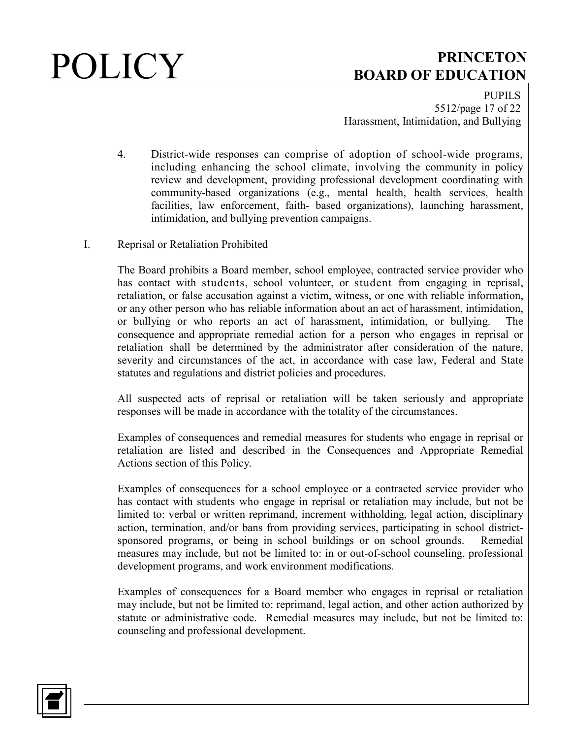

PUPILS 5512/page 17 of 22 Harassment, Intimidation, and Bullying

- 4. District-wide responses can comprise of adoption of school-wide programs, including enhancing the school climate, involving the community in policy review and development, providing professional development coordinating with community-based organizations (e.g., mental health, health services, health facilities, law enforcement, faith- based organizations), launching harassment, intimidation, and bullying prevention campaigns.
- I. Reprisal or Retaliation Prohibited

The Board prohibits a Board member, school employee, contracted service provider who has contact with students, school volunteer, or student from engaging in reprisal, retaliation, or false accusation against a victim, witness, or one with reliable information, or any other person who has reliable information about an act of harassment, intimidation, or bullying or who reports an act of harassment, intimidation, or bullying. The consequence and appropriate remedial action for a person who engages in reprisal or retaliation shall be determined by the administrator after consideration of the nature, severity and circumstances of the act, in accordance with case law, Federal and State statutes and regulations and district policies and procedures.

All suspected acts of reprisal or retaliation will be taken seriously and appropriate responses will be made in accordance with the totality of the circumstances.

Examples of consequences and remedial measures for students who engage in reprisal or retaliation are listed and described in the Consequences and Appropriate Remedial Actions section of this Policy.

Examples of consequences for a school employee or a contracted service provider who has contact with students who engage in reprisal or retaliation may include, but not be limited to: verbal or written reprimand, increment withholding, legal action, disciplinary action, termination, and/or bans from providing services, participating in school districtsponsored programs, or being in school buildings or on school grounds. Remedial measures may include, but not be limited to: in or out-of-school counseling, professional development programs, and work environment modifications.

Examples of consequences for a Board member who engages in reprisal or retaliation may include, but not be limited to: reprimand, legal action, and other action authorized by statute or administrative code. Remedial measures may include, but not be limited to: counseling and professional development.

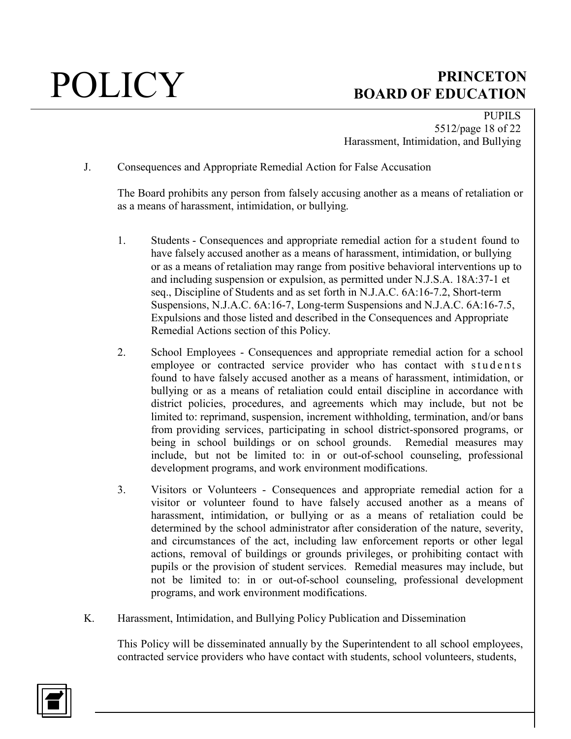PUPILS 5512/page 18 of 22 Harassment, Intimidation, and Bullying

J. Consequences and Appropriate Remedial Action for False Accusation

The Board prohibits any person from falsely accusing another as a means of retaliation or as a means of harassment, intimidation, or bullying.

- 1. Students Consequences and appropriate remedial action for a student found to have falsely accused another as a means of harassment, intimidation, or bullying or as a means of retaliation may range from positive behavioral interventions up to and including suspension or expulsion, as permitted under N.J.S.A. 18A:37-1 et seq., Discipline of Students and as set forth in N.J.A.C. 6A:16-7.2, Short-term Suspensions, N.J.A.C. 6A:16-7, Long-term Suspensions and N.J.A.C. 6A:16-7.5, Expulsions and those listed and described in the Consequences and Appropriate Remedial Actions section of this Policy.
- 2. School Employees Consequences and appropriate remedial action for a school employee or contracted service provider who has contact with students found to have falsely accused another as a means of harassment, intimidation, or bullying or as a means of retaliation could entail discipline in accordance with district policies, procedures, and agreements which may include, but not be limited to: reprimand, suspension, increment withholding, termination, and/or bans from providing services, participating in school district-sponsored programs, or being in school buildings or on school grounds. Remedial measures may include, but not be limited to: in or out-of-school counseling, professional development programs, and work environment modifications.
- 3. Visitors or Volunteers Consequences and appropriate remedial action for a visitor or volunteer found to have falsely accused another as a means of harassment, intimidation, or bullying or as a means of retaliation could be determined by the school administrator after consideration of the nature, severity, and circumstances of the act, including law enforcement reports or other legal actions, removal of buildings or grounds privileges, or prohibiting contact with pupils or the provision of student services. Remedial measures may include, but not be limited to: in or out-of-school counseling, professional development programs, and work environment modifications.
- K. Harassment, Intimidation, and Bullying Policy Publication and Dissemination

This Policy will be disseminated annually by the Superintendent to all school employees, contracted service providers who have contact with students, school volunteers, students,

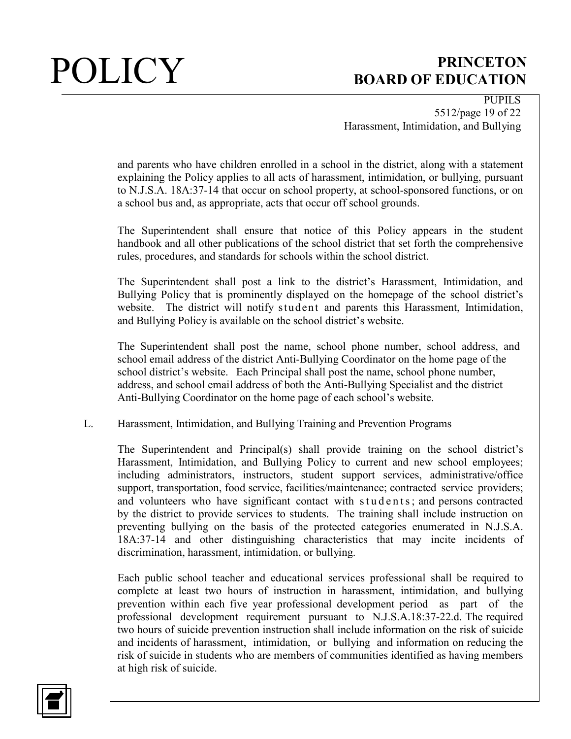PUPILS 5512/page 19 of 22 Harassment, Intimidation, and Bullying

and parents who have children enrolled in a school in the district, along with a statement explaining the Policy applies to all acts of harassment, intimidation, or bullying, pursuant to N.J.S.A. 18A:37-14 that occur on school property, at school-sponsored functions, or on a school bus and, as appropriate, acts that occur off school grounds.

The Superintendent shall ensure that notice of this Policy appears in the student handbook and all other publications of the school district that set forth the comprehensive rules, procedures, and standards for schools within the school district.

The Superintendent shall post a link to the district's Harassment, Intimidation, and Bullying Policy that is prominently displayed on the homepage of the school district's website. The district will notify student and parents this Harassment, Intimidation, and Bullying Policy is available on the school district's website.

The Superintendent shall post the name, school phone number, school address, and school email address of the district Anti-Bullying Coordinator on the home page of the school district's website. Each Principal shall post the name, school phone number, address, and school email address of both the Anti-Bullying Specialist and the district Anti-Bullying Coordinator on the home page of each school's website.

L. Harassment, Intimidation, and Bullying Training and Prevention Programs

The Superintendent and Principal(s) shall provide training on the school district's Harassment, Intimidation, and Bullying Policy to current and new school employees; including administrators, instructors, student support services, administrative/office support, transportation, food service, facilities/maintenance; contracted service providers; and volunteers who have significant contact with students; and persons contracted by the district to provide services to students. The training shall include instruction on preventing bullying on the basis of the protected categories enumerated in N.J.S.A. 18A:37-14 and other distinguishing characteristics that may incite incidents of discrimination, harassment, intimidation, or bullying.

Each public school teacher and educational services professional shall be required to complete at least two hours of instruction in harassment, intimidation, and bullying prevention within each five year professional development period as part of the professional development requirement pursuant to N.J.S.A.18:37-22.d. The required two hours of suicide prevention instruction shall include information on the risk of suicide and incidents of harassment, intimidation, or bullying and information on reducing the risk of suicide in students who are members of communities identified as having members at high risk of suicide.

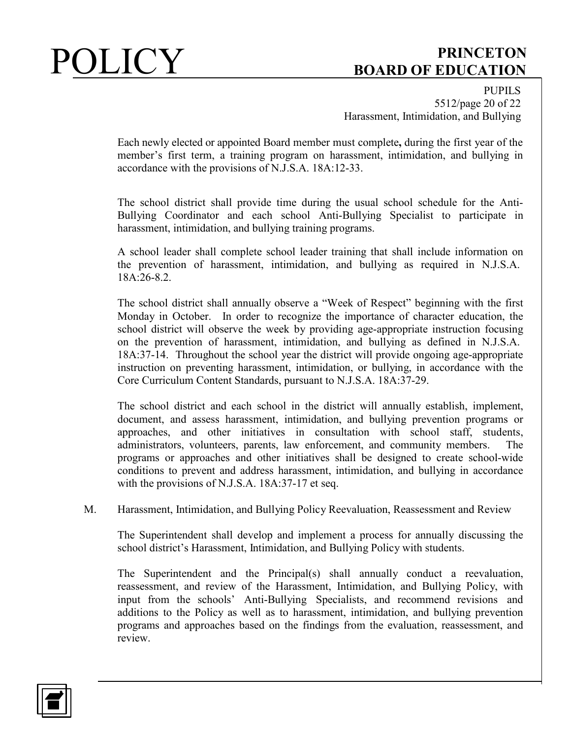PUPILS 5512/page 20 of 22 Harassment, Intimidation, and Bullying

Each newly elected or appointed Board member must complete**,** during the first year of the member's first term, a training program on harassment, intimidation, and bullying in accordance with the provisions of N.J.S.A. 18A:12-33.

The school district shall provide time during the usual school schedule for the Anti-Bullying Coordinator and each school Anti-Bullying Specialist to participate in harassment, intimidation, and bullying training programs.

A school leader shall complete school leader training that shall include information on the prevention of harassment, intimidation, and bullying as required in N.J.S.A. 18A:26-8.2.

The school district shall annually observe a "Week of Respect" beginning with the first Monday in October. In order to recognize the importance of character education, the school district will observe the week by providing age-appropriate instruction focusing on the prevention of harassment, intimidation, and bullying as defined in N.J.S.A. 18A:37-14. Throughout the school year the district will provide ongoing age-appropriate instruction on preventing harassment, intimidation, or bullying, in accordance with the Core Curriculum Content Standards, pursuant to N.J.S.A. 18A:37-29.

The school district and each school in the district will annually establish, implement, document, and assess harassment, intimidation, and bullying prevention programs or approaches, and other initiatives in consultation with school staff, students, administrators, volunteers, parents, law enforcement, and community members. The programs or approaches and other initiatives shall be designed to create school-wide conditions to prevent and address harassment, intimidation, and bullying in accordance with the provisions of N.J.S.A. 18A:37-17 et seq.

M. Harassment, Intimidation, and Bullying Policy Reevaluation, Reassessment and Review

The Superintendent shall develop and implement a process for annually discussing the school district's Harassment, Intimidation, and Bullying Policy with students.

The Superintendent and the Principal(s) shall annually conduct a reevaluation, reassessment, and review of the Harassment, Intimidation, and Bullying Policy, with input from the schools' Anti-Bullying Specialists, and recommend revisions and additions to the Policy as well as to harassment, intimidation, and bullying prevention programs and approaches based on the findings from the evaluation, reassessment, and review.

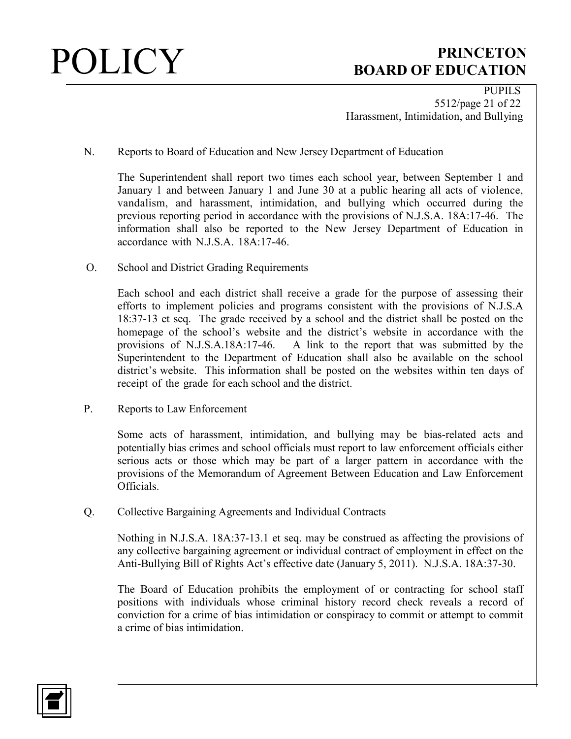

PUPILS 5512/page 21 of 22 Harassment, Intimidation, and Bullying

N. Reports to Board of Education and New Jersey Department of Education

The Superintendent shall report two times each school year, between September 1 and January 1 and between January 1 and June 30 at a public hearing all acts of violence, vandalism, and harassment, intimidation, and bullying which occurred during the previous reporting period in accordance with the provisions of N.J.S.A. 18A:17-46. The information shall also be reported to the New Jersey Department of Education in accordance with N.J.S.A. 18A:17-46.

O. School and District Grading Requirements

Each school and each district shall receive a grade for the purpose of assessing their efforts to implement policies and programs consistent with the provisions of N.J.S.A 18:37-13 et seq.The grade received by a school and the district shall be posted on the homepage of the school's website and the district's website in accordance with the provisions of N.J.S.A.18A:17-46. A link to the report that was submitted by the Superintendent to the Department of Education shall also be available on the school district's website. This information shall be posted on the websites within ten days of receipt of the grade for each school and the district.

P. Reports to Law Enforcement

Some acts of harassment, intimidation, and bullying may be bias-related acts and potentially bias crimes and school officials must report to law enforcement officials either serious acts or those which may be part of a larger pattern in accordance with the provisions of the Memorandum of Agreement Between Education and Law Enforcement Officials.

Q. Collective Bargaining Agreements and Individual Contracts

Nothing in N.J.S.A. 18A:37-13.1 et seq. may be construed as affecting the provisions of any collective bargaining agreement or individual contract of employment in effect on the Anti-Bullying Bill of Rights Act's effective date (January 5, 2011). N.J.S.A. 18A:37-30.

The Board of Education prohibits the employment of or contracting for school staff positions with individuals whose criminal history record check reveals a record of conviction for a crime of bias intimidation or conspiracy to commit or attempt to commit a crime of bias intimidation.

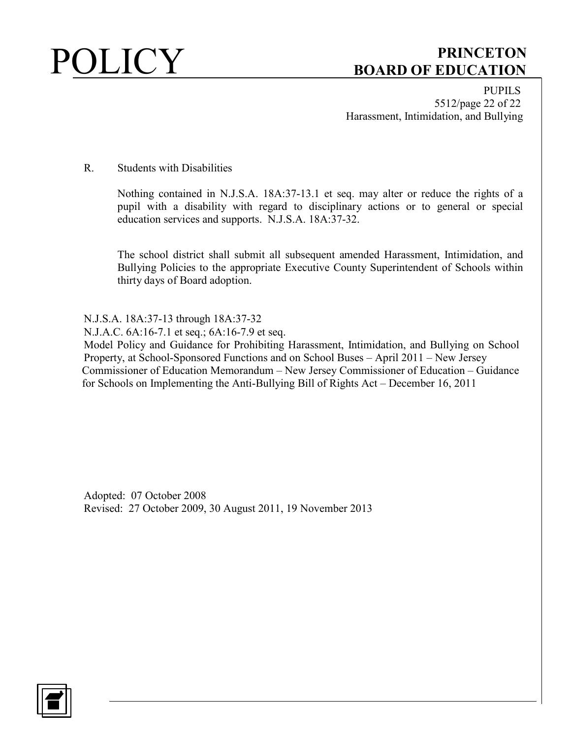PUPILS 5512/page 22 of 22 Harassment, Intimidation, and Bullying

### R. Students with Disabilities

Nothing contained in N.J.S.A. 18A:37-13.1 et seq. may alter or reduce the rights of a pupil with a disability with regard to disciplinary actions or to general or special education services and supports. N.J.S.A. 18A:37-32.

The school district shall submit all subsequent amended Harassment, Intimidation, and Bullying Policies to the appropriate Executive County Superintendent of Schools within thirty days of Board adoption.

N.J.S.A. 18A:37-13 through 18A:37-32

N.J.A.C. 6A:16-7.1 et seq.; 6A:16-7.9 et seq.

Model Policy and Guidance for Prohibiting Harassment, Intimidation, and Bullying on School Property, at School-Sponsored Functions and on School Buses – April 2011 – New Jersey Commissioner of Education Memorandum – New Jersey Commissioner of Education – Guidance for Schools on Implementing the Anti-Bullying Bill of Rights Act – December 16, 2011

Adopted: 07 October 2008 Revised: 27 October 2009, 30 August 2011, 19 November 2013

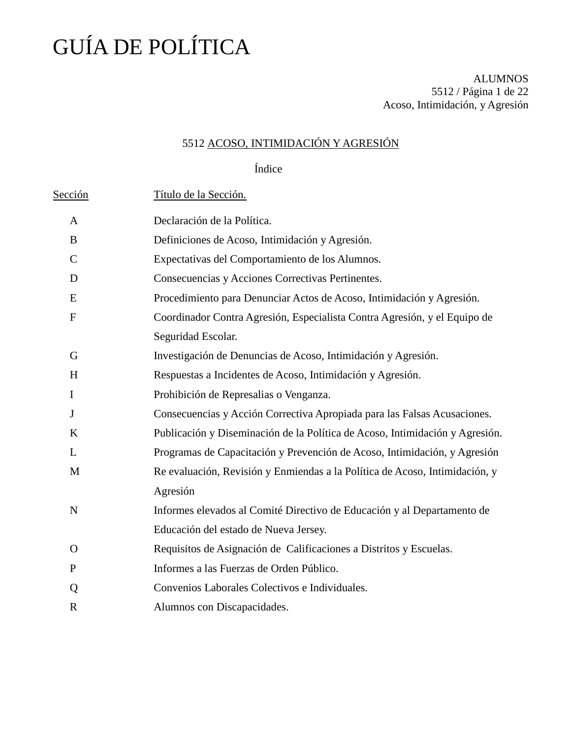ALUMNOS 5512 / Página 1 de 22 Acoso, Intimidación, y Agresión

### 5512 ACOSO, INTIMIDACIÓN Y AGRESIÓN

Índice

| Sección      | Título de la Sección.                                                        |
|--------------|------------------------------------------------------------------------------|
| A            | Declaración de la Política.                                                  |
| B            | Definiciones de Acoso, Intimidación y Agresión.                              |
| $\mathsf{C}$ | Expectativas del Comportamiento de los Alumnos.                              |
| D            | Consecuencias y Acciones Correctivas Pertinentes.                            |
| E            | Procedimiento para Denunciar Actos de Acoso, Intimidación y Agresión.        |
| $\mathbf{F}$ | Coordinador Contra Agresión, Especialista Contra Agresión, y el Equipo de    |
|              | Seguridad Escolar.                                                           |
| G            | Investigación de Denuncias de Acoso, Intimidación y Agresión.                |
| H            | Respuestas a Incidentes de Acoso, Intimidación y Agresión.                   |
| $\mathbf I$  | Prohibición de Represalias o Venganza.                                       |
| J            | Consecuencias y Acción Correctiva Apropiada para las Falsas Acusaciones.     |
| K            | Publicación y Diseminación de la Política de Acoso, Intimidación y Agresión. |
| L            | Programas de Capacitación y Prevención de Acoso, Intimidación, y Agresión    |
| M            | Re evaluación, Revisión y Enmiendas a la Política de Acoso, Intimidación, y  |
|              | Agresión                                                                     |
| N            | Informes elevados al Comité Directivo de Educación y al Departamento de      |
|              | Educación del estado de Nueva Jersey.                                        |
| $\Omega$     | Requisitos de Asignación de Calificaciones a Distritos y Escuelas.           |
| P            | Informes a las Fuerzas de Orden Público.                                     |
| Q            | Convenios Laborales Colectivos e Individuales.                               |
| $\mathbb{R}$ | Alumnos con Discapacidades.                                                  |
|              |                                                                              |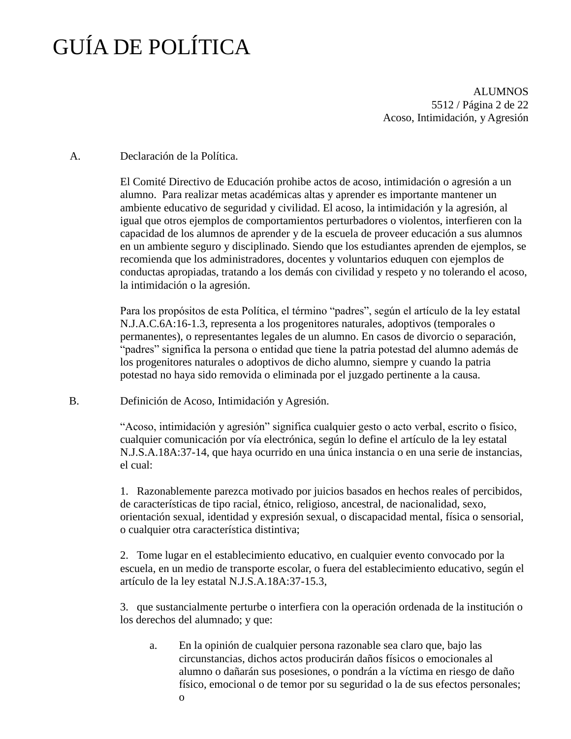ALUMNOS 5512 / Página 2 de 22 Acoso, Intimidación, y Agresión

### A. Declaración de la Política.

El Comité Directivo de Educación prohibe actos de acoso, intimidación o agresión a un alumno. Para realizar metas académicas altas y aprender es importante mantener un ambiente educativo de seguridad y civilidad. El acoso, la intimidación y la agresión, al igual que otros ejemplos de comportamientos perturbadores o violentos, interfieren con la capacidad de los alumnos de aprender y de la escuela de proveer educación a sus alumnos en un ambiente seguro y disciplinado. Siendo que los estudiantes aprenden de ejemplos, se recomienda que los administradores, docentes y voluntarios eduquen con ejemplos de conductas apropiadas, tratando a los demás con civilidad y respeto y no tolerando el acoso, la intimidación o la agresión.

Para los propósitos de esta Política, el término "padres", según el artículo de la ley estatal N.J.A.C.6A:16-1.3, representa a los progenitores naturales, adoptivos (temporales o permanentes), o representantes legales de un alumno. En casos de divorcio o separación, "padres" significa la persona o entidad que tiene la patria potestad del alumno además de los progenitores naturales o adoptivos de dicho alumno, siempre y cuando la patria potestad no haya sido removida o eliminada por el juzgado pertinente a la causa.

B. Definición de Acoso, Intimidación y Agresión.

"Acoso, intimidación y agresión" significa cualquier gesto o acto verbal, escrito o físico, cualquier comunicación por vía electrónica, según lo define el artículo de la ley estatal N.J.S.A.18A:37-14, que haya ocurrido en una única instancia o en una serie de instancias, el cual:

1. Razonablemente parezca motivado por juicios basados en hechos reales of percibidos, de características de tipo racial, étnico, religioso, ancestral, de nacionalidad, sexo, orientación sexual, identidad y expresión sexual, o discapacidad mental, física o sensorial, o cualquier otra característica distintiva;

2. Tome lugar en el establecimiento educativo, en cualquier evento convocado por la escuela, en un medio de transporte escolar, o fuera del establecimiento educativo, según el artículo de la ley estatal N.J.S.A.18A:37-15.3,

3. que sustancialmente perturbe o interfiera con la operación ordenada de la institución o los derechos del alumnado; y que:

- a. En la opinión de cualquier persona razonable sea claro que, bajo las circunstancias, dichos actos producirán daños físicos o emocionales al alumno o dañarán sus posesiones, o pondrán a la víctima en riesgo de daño físico, emocional o de temor por su seguridad o la de sus efectos personales;
	- o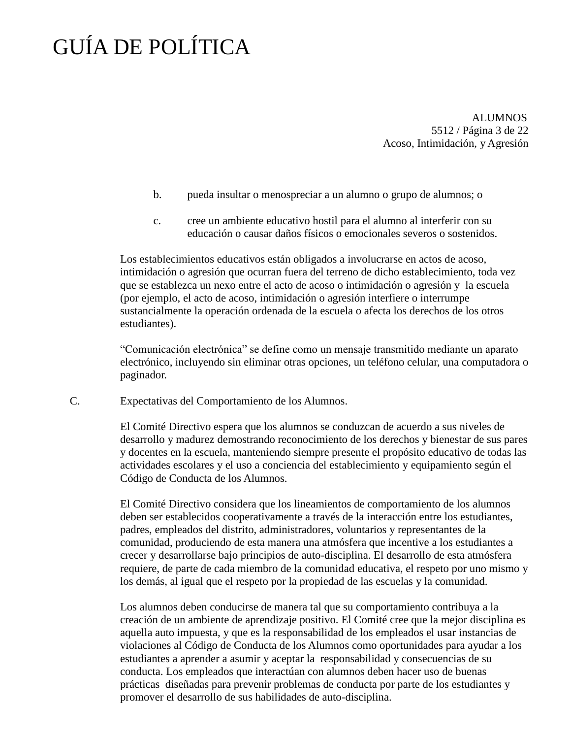ALUMNOS 5512 / Página 3 de 22 Acoso, Intimidación, y Agresión

- b. pueda insultar o menospreciar a un alumno o grupo de alumnos; o
- c. cree un ambiente educativo hostil para el alumno al interferir con su educación o causar daños físicos o emocionales severos o sostenidos.

Los establecimientos educativos están obligados a involucrarse en actos de acoso, intimidación o agresión que ocurran fuera del terreno de dicho establecimiento, toda vez que se establezca un nexo entre el acto de acoso o intimidación o agresión y la escuela (por ejemplo, el acto de acoso, intimidación o agresión interfiere o interrumpe sustancialmente la operación ordenada de la escuela o afecta los derechos de los otros estudiantes).

"Comunicación electrónica" se define como un mensaje transmitido mediante un aparato electrónico, incluyendo sin eliminar otras opciones, un teléfono celular, una computadora o paginador.

C. Expectativas del Comportamiento de los Alumnos.

El Comité Directivo espera que los alumnos se conduzcan de acuerdo a sus niveles de desarrollo y madurez demostrando reconocimiento de los derechos y bienestar de sus pares y docentes en la escuela, manteniendo siempre presente el propósito educativo de todas las actividades escolares y el uso a conciencia del establecimiento y equipamiento según el Código de Conducta de los Alumnos.

El Comité Directivo considera que los lineamientos de comportamiento de los alumnos deben ser establecidos cooperativamente a través de la interacción entre los estudiantes, padres, empleados del distrito, administradores, voluntarios y representantes de la comunidad, produciendo de esta manera una atmósfera que incentive a los estudiantes a crecer y desarrollarse bajo principios de auto-disciplina. El desarrollo de esta atmósfera requiere, de parte de cada miembro de la comunidad educativa, el respeto por uno mismo y los demás, al igual que el respeto por la propiedad de las escuelas y la comunidad.

Los alumnos deben conducirse de manera tal que su comportamiento contribuya a la creación de un ambiente de aprendizaje positivo. El Comité cree que la mejor disciplina es aquella auto impuesta, y que es la responsabilidad de los empleados el usar instancias de violaciones al Código de Conducta de los Alumnos como oportunidades para ayudar a los estudiantes a aprender a asumir y aceptar la responsabilidad y consecuencias de su conducta. Los empleados que interactúan con alumnos deben hacer uso de buenas prácticas diseñadas para prevenir problemas de conducta por parte de los estudiantes y promover el desarrollo de sus habilidades de auto-disciplina.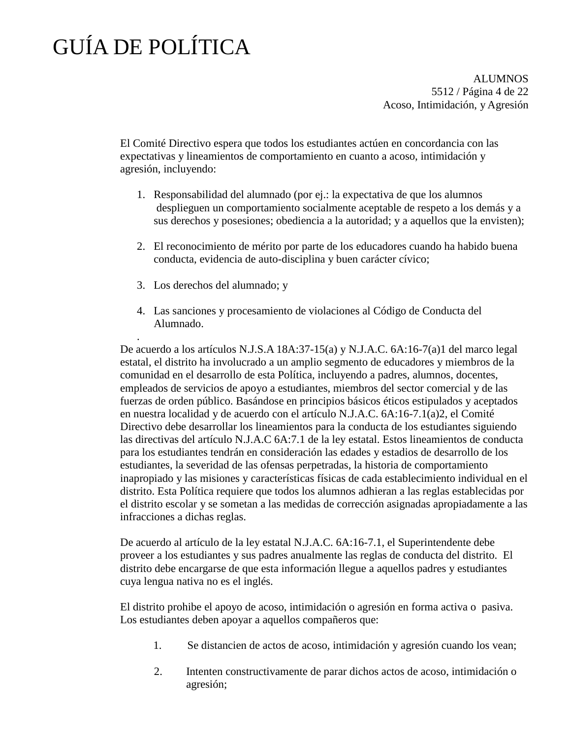.

ALUMNOS 5512 / Página 4 de 22 Acoso, Intimidación, y Agresión

El Comité Directivo espera que todos los estudiantes actúen en concordancia con las expectativas y lineamientos de comportamiento en cuanto a acoso, intimidación y agresión, incluyendo:

- 1. Responsabilidad del alumnado (por ej.: la expectativa de que los alumnos desplieguen un comportamiento socialmente aceptable de respeto a los demás y a sus derechos y posesiones; obediencia a la autoridad; y a aquellos que la envisten);
- 2. El reconocimiento de mérito por parte de los educadores cuando ha habido buena conducta, evidencia de auto-disciplina y buen carácter cívico;
- 3. Los derechos del alumnado; y
- 4. Las sanciones y procesamiento de violaciones al Código de Conducta del Alumnado.

De acuerdo a los artículos N.J.S.A 18A:37-15(a) y N.J.A.C. 6A:16-7(a)1 del marco legal estatal, el distrito ha involucrado a un amplio segmento de educadores y miembros de la comunidad en el desarrollo de esta Política, incluyendo a padres, alumnos, docentes, empleados de servicios de apoyo a estudiantes, miembros del sector comercial y de las fuerzas de orden público. Basándose en principios básicos éticos estipulados y aceptados en nuestra localidad y de acuerdo con el artículo N.J.A.C. 6A:16-7.1(a)2, el Comité Directivo debe desarrollar los lineamientos para la conducta de los estudiantes siguiendo las directivas del artículo N.J.A.C 6A:7.1 de la ley estatal. Estos lineamientos de conducta para los estudiantes tendrán en consideración las edades y estadios de desarrollo de los estudiantes, la severidad de las ofensas perpetradas, la historia de comportamiento inapropiado y las misiones y características físicas de cada establecimiento individual en el distrito. Esta Política requiere que todos los alumnos adhieran a las reglas establecidas por el distrito escolar y se sometan a las medidas de corrección asignadas apropiadamente a las infracciones a dichas reglas.

De acuerdo al artículo de la ley estatal N.J.A.C. 6A:16-7.1, el Superintendente debe proveer a los estudiantes y sus padres anualmente las reglas de conducta del distrito. El distrito debe encargarse de que esta información llegue a aquellos padres y estudiantes cuya lengua nativa no es el inglés.

El distrito prohibe el apoyo de acoso, intimidación o agresión en forma activa o pasiva. Los estudiantes deben apoyar a aquellos compañeros que:

- 1. Se distancien de actos de acoso, intimidación y agresión cuando los vean;
- 2. Intenten constructivamente de parar dichos actos de acoso, intimidación o agresión;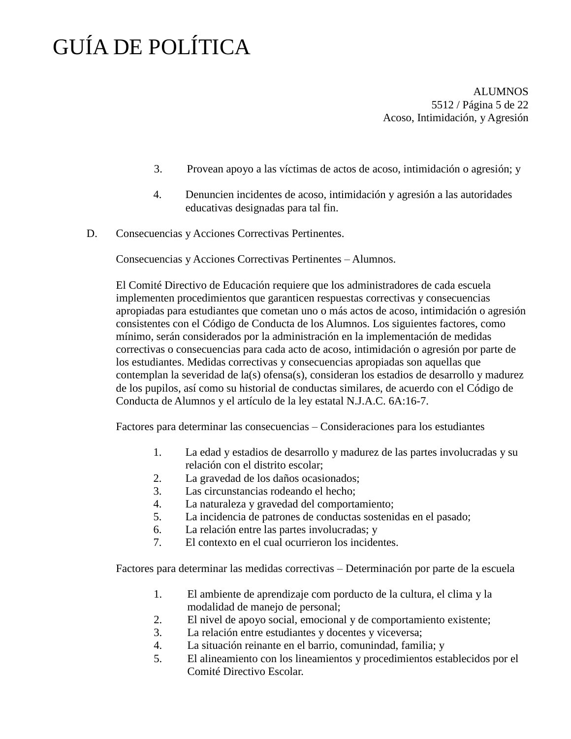ALUMNOS 5512 / Página 5 de 22 Acoso, Intimidación, y Agresión

- 3. Provean apoyo a las víctimas de actos de acoso, intimidación o agresión; y
- 4. Denuncien incidentes de acoso, intimidación y agresión a las autoridades educativas designadas para tal fin.
- D. Consecuencias y Acciones Correctivas Pertinentes.

Consecuencias y Acciones Correctivas Pertinentes – Alumnos.

El Comité Directivo de Educación requiere que los administradores de cada escuela implementen procedimientos que garanticen respuestas correctivas y consecuencias apropiadas para estudiantes que cometan uno o más actos de acoso, intimidación o agresión consistentes con el Código de Conducta de los Alumnos. Los siguientes factores, como mínimo, serán considerados por la administración en la implementación de medidas correctivas o consecuencias para cada acto de acoso, intimidación o agresión por parte de los estudiantes. Medidas correctivas y consecuencias apropiadas son aquellas que contemplan la severidad de la(s) ofensa(s), consideran los estadios de desarrollo y madurez de los pupilos, así como su historial de conductas similares, de acuerdo con el Código de Conducta de Alumnos y el artículo de la ley estatal N.J.A.C. 6A:16-7.

Factores para determinar las consecuencias – Consideraciones para los estudiantes

- 1. La edad y estadios de desarrollo y madurez de las partes involucradas y su relación con el distrito escolar;
- 2. La gravedad de los daños ocasionados;
- 3. Las circunstancias rodeando el hecho;
- 4. La naturaleza y gravedad del comportamiento;
- 5. La incidencia de patrones de conductas sostenidas en el pasado;
- 6. La relación entre las partes involucradas; y
- 7. El contexto en el cual ocurrieron los incidentes.

Factores para determinar las medidas correctivas – Determinación por parte de la escuela

- 1. El ambiente de aprendizaje com porducto de la cultura, el clima y la modalidad de manejo de personal;
- 2. El nivel de apoyo social, emocional y de comportamiento existente;
- 3. La relación entre estudiantes y docentes y viceversa;
- 4. La situación reinante en el barrio, comunindad, familia; y
- 5. El alineamiento con los lineamientos y procedimientos establecidos por el Comité Directivo Escolar.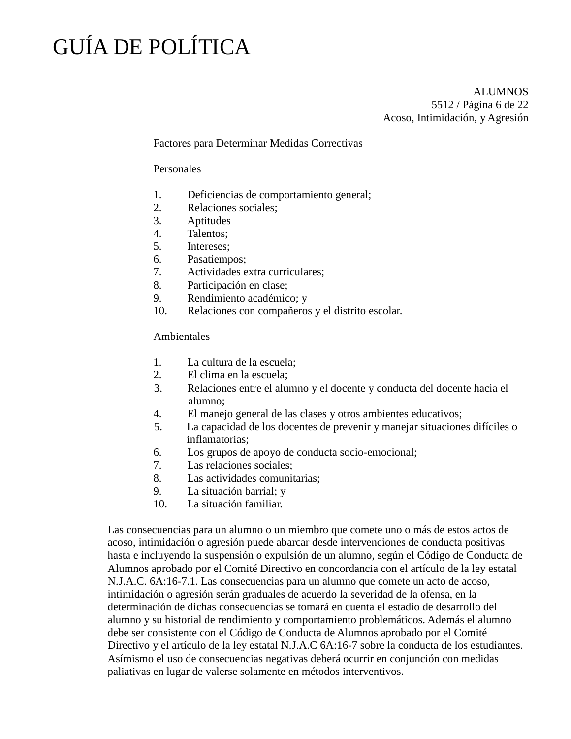ALUMNOS 5512 / Página 6 de 22 Acoso, Intimidación, y Agresión

### Factores para Determinar Medidas Correctivas

### Personales

- 1. Deficiencias de comportamiento general;
- 2. Relaciones sociales;
- 3. Aptitudes
- 4. Talentos;
- 5. Intereses;
- 6. Pasatiempos;
- 7. Actividades extra curriculares;
- 8. Participación en clase;
- 9. Rendimiento académico; y
- 10. Relaciones con compañeros y el distrito escolar.

### Ambientales

- 1. La cultura de la escuela;
- 2. El clima en la escuela;
- 3. Relaciones entre el alumno y el docente y conducta del docente hacia el alumno;
- 4. El manejo general de las clases y otros ambientes educativos;
- 5. La capacidad de los docentes de prevenir y manejar situaciones difíciles o inflamatorias;
- 6. Los grupos de apoyo de conducta socio-emocional;
- 7. Las relaciones sociales;
- 8. Las actividades comunitarias;
- 9. La situación barrial; y
- 10. La situación familiar.

Las consecuencias para un alumno o un miembro que comete uno o más de estos actos de acoso, intimidación o agresión puede abarcar desde intervenciones de conducta positivas hasta e incluyendo la suspensión o expulsión de un alumno, según el Código de Conducta de Alumnos aprobado por el Comité Directivo en concordancia con el artículo de la ley estatal N.J.A.C. 6A:16-7.1. Las consecuencias para un alumno que comete un acto de acoso, intimidación o agresión serán graduales de acuerdo la severidad de la ofensa, en la determinación de dichas consecuencias se tomará en cuenta el estadio de desarrollo del alumno y su historial de rendimiento y comportamiento problemáticos. Además el alumno debe ser consistente con el Código de Conducta de Alumnos aprobado por el Comité Directivo y el artículo de la ley estatal N.J.A.C 6A:16-7 sobre la conducta de los estudiantes. Asímismo el uso de consecuencias negativas deberá ocurrir en conjunción con medidas paliativas en lugar de valerse solamente en métodos interventivos.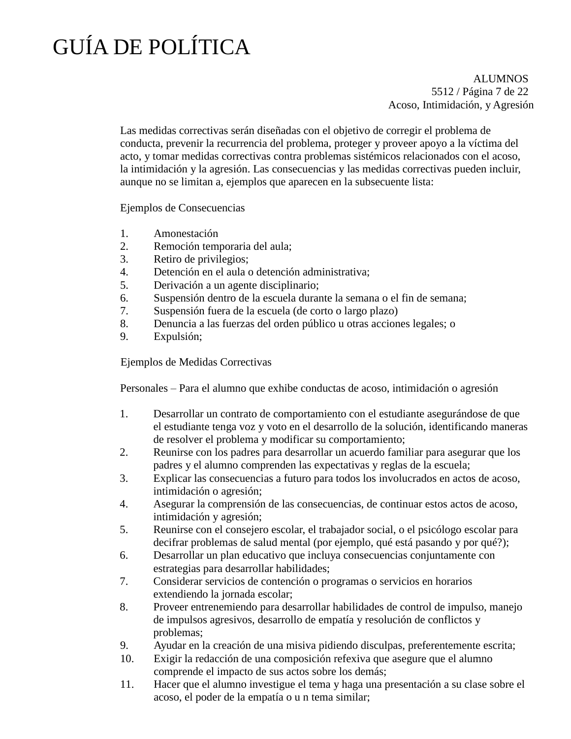ALUMNOS 5512 / Página 7 de 22 Acoso, Intimidación, y Agresión

Las medidas correctivas serán diseñadas con el objetivo de corregir el problema de conducta, prevenir la recurrencia del problema, proteger y proveer apoyo a la víctima del acto, y tomar medidas correctivas contra problemas sistémicos relacionados con el acoso, la intimidación y la agresión. Las consecuencias y las medidas correctivas pueden incluir, aunque no se limitan a, ejemplos que aparecen en la subsecuente lista:

Ejemplos de Consecuencias

- 1. Amonestación
- 2. Remoción temporaria del aula;
- 3. Retiro de privilegios;
- 4. Detención en el aula o detención administrativa;
- 5. Derivación a un agente disciplinario;
- 6. Suspensión dentro de la escuela durante la semana o el fin de semana;
- 7. Suspensión fuera de la escuela (de corto o largo plazo)
- 8. Denuncia a las fuerzas del orden público u otras acciones legales; o
- 9. Expulsión;

Ejemplos de Medidas Correctivas

Personales – Para el alumno que exhibe conductas de acoso, intimidación o agresión

- 1. Desarrollar un contrato de comportamiento con el estudiante asegurándose de que el estudiante tenga voz y voto en el desarrollo de la solución, identificando maneras de resolver el problema y modificar su comportamiento;
- 2. Reunirse con los padres para desarrollar un acuerdo familiar para asegurar que los padres y el alumno comprenden las expectativas y reglas de la escuela;
- 3. Explicar las consecuencias a futuro para todos los involucrados en actos de acoso, intimidación o agresión;
- 4. Asegurar la comprensión de las consecuencias, de continuar estos actos de acoso, intimidación y agresión;
- 5. Reunirse con el consejero escolar, el trabajador social, o el psicólogo escolar para decifrar problemas de salud mental (por ejemplo, qué está pasando y por qué?);
- 6. Desarrollar un plan educativo que incluya consecuencias conjuntamente con estrategias para desarrollar habilidades;
- 7. Considerar servicios de contención o programas o servicios en horarios extendiendo la jornada escolar;
- 8. Proveer entrenemiendo para desarrollar habilidades de control de impulso, manejo de impulsos agresivos, desarrollo de empatía y resolución de conflictos y problemas;
- 9. Ayudar en la creación de una misiva pidiendo disculpas, preferentemente escrita;
- 10. Exigir la redacción de una composición refexiva que asegure que el alumno comprende el impacto de sus actos sobre los demás;
- 11. Hacer que el alumno investigue el tema y haga una presentación a su clase sobre el acoso, el poder de la empatía o u n tema similar;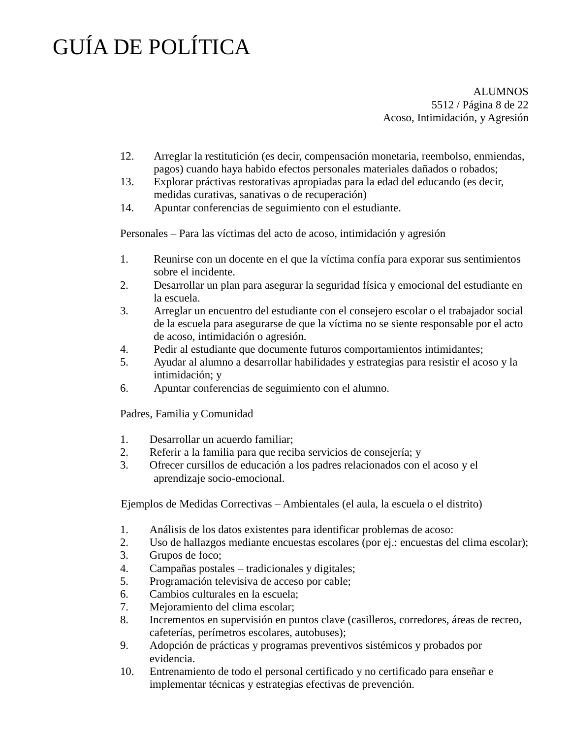ALUMNOS 5512 / Página 8 de 22 Acoso, Intimidación, y Agresión

- 12. Arreglar la restitutición (es decir, compensación monetaria, reembolso, enmiendas, pagos) cuando haya habido efectos personales materiales dañados o robados;
- 13. Explorar práctivas restorativas apropiadas para la edad del educando (es decir, medidas curativas, sanativas o de recuperación)
- 14. Apuntar conferencias de seguimiento con el estudiante.

Personales – Para las víctimas del acto de acoso, intimidación y agresión

- 1. Reunirse con un docente en el que la víctima confía para exporar sus sentimientos sobre el incidente.
- 2. Desarrollar un plan para asegurar la seguridad física y emocional del estudiante en la escuela.
- 3. Arreglar un encuentro del estudiante con el consejero escolar o el trabajador social de la escuela para asegurarse de que la víctima no se siente responsable por el acto de acoso, intimidación o agresión.
- 4. Pedir al estudiante que documente futuros comportamientos intimidantes;
- 5. Ayudar al alumno a desarrollar habilidades y estrategias para resistir el acoso y la intimidación; y
- 6. Apuntar conferencias de seguimiento con el alumno.

Padres, Familia y Comunidad

- 1. Desarrollar un acuerdo familiar;
- 2. Referir a la familia para que reciba servicios de consejería; y
- 3. Ofrecer cursillos de educación a los padres relacionados con el acoso y el aprendizaje socio-emocional.

Ejemplos de Medidas Correctivas – Ambientales (el aula, la escuela o el distrito)

- 1. Análisis de los datos existentes para identificar problemas de acoso:
- 2. Uso de hallazgos mediante encuestas escolares (por ej.: encuestas del clima escolar);
- 3. Grupos de foco;
- 4. Campañas postales tradicionales y digitales;
- 5. Programación televisiva de acceso por cable;
- 6. Cambios culturales en la escuela;
- 7. Mejoramiento del clima escolar;
- 8. Incrementos en supervisión en puntos clave (casilleros, corredores, áreas de recreo, cafeterías, perímetros escolares, autobuses);
- 9. Adopción de prácticas y programas preventivos sistémicos y probados por evidencia.
- 10. Entrenamiento de todo el personal certificado y no certificado para enseñar e implementar técnicas y estrategias efectivas de prevención.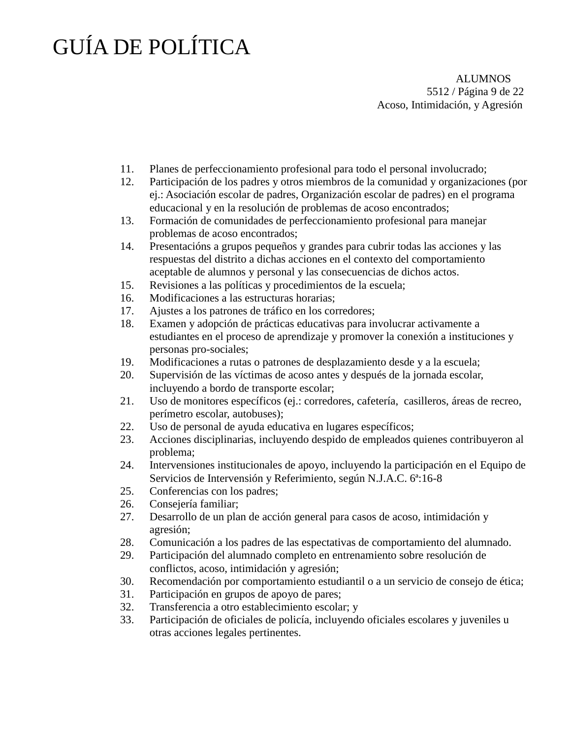ALUMNOS 5512 / Página 9 de 22 Acoso, Intimidación, y Agresión

- 11. Planes de perfeccionamiento profesional para todo el personal involucrado;
- 12. Participación de los padres y otros miembros de la comunidad y organizaciones (por ej.: Asociación escolar de padres, Organización escolar de padres) en el programa educacional y en la resolución de problemas de acoso encontrados;
- 13. Formación de comunidades de perfeccionamiento profesional para manejar problemas de acoso encontrados;
- 14. Presentacións a grupos pequeños y grandes para cubrir todas las acciones y las respuestas del distrito a dichas acciones en el contexto del comportamiento aceptable de alumnos y personal y las consecuencias de dichos actos.
- 15. Revisiones a las políticas y procedimientos de la escuela;
- 16. Modificaciones a las estructuras horarias;
- 17. Ajustes a los patrones de tráfico en los corredores;
- 18. Examen y adopción de prácticas educativas para involucrar activamente a estudiantes en el proceso de aprendizaje y promover la conexión a instituciones y personas pro-sociales;
- 19. Modificaciones a rutas o patrones de desplazamiento desde y a la escuela;
- 20. Supervisión de las víctimas de acoso antes y después de la jornada escolar, incluyendo a bordo de transporte escolar;
- 21. Uso de monitores específicos (ej.: corredores, cafetería, casilleros, áreas de recreo, perímetro escolar, autobuses);
- 22. Uso de personal de ayuda educativa en lugares específicos;
- 23. Acciones disciplinarias, incluyendo despido de empleados quienes contribuyeron al problema;
- 24. Intervensiones institucionales de apoyo, incluyendo la participación en el Equipo de Servicios de Intervensión y Referimiento, según N.J.A.C. 6ª:16-8
- 25. Conferencias con los padres;
- 26. Consejería familiar;
- 27. Desarrollo de un plan de acción general para casos de acoso, intimidación y agresión;
- 28. Comunicación a los padres de las espectativas de comportamiento del alumnado.
- 29. Participación del alumnado completo en entrenamiento sobre resolución de conflictos, acoso, intimidación y agresión;
- 30. Recomendación por comportamiento estudiantil o a un servicio de consejo de ética;
- 31. Participación en grupos de apoyo de pares;
- 32. Transferencia a otro establecimiento escolar; y
- 33. Participación de oficiales de policía, incluyendo oficiales escolares y juveniles u otras acciones legales pertinentes.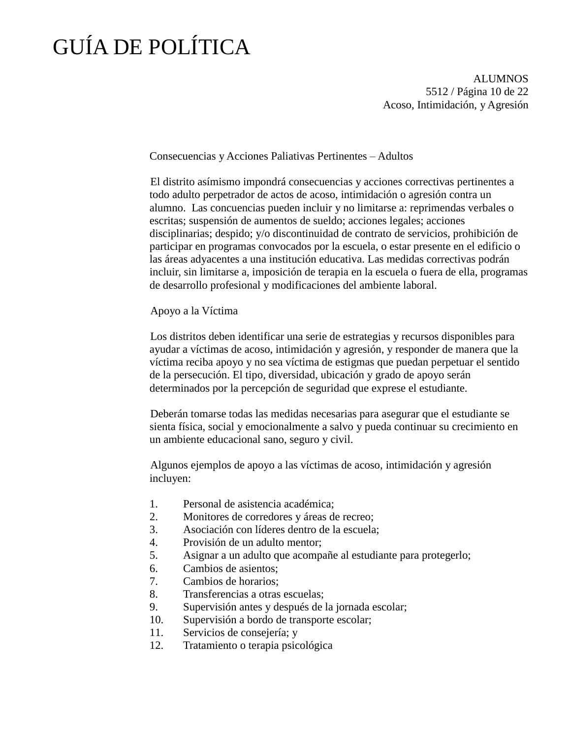ALUMNOS 5512 / Página 10 de 22 Acoso, Intimidación, y Agresión

Consecuencias y Acciones Paliativas Pertinentes – Adultos

El distrito asímismo impondrá consecuencias y acciones correctivas pertinentes a todo adulto perpetrador de actos de acoso, intimidación o agresión contra un alumno. Las concuencias pueden incluir y no limitarse a: reprimendas verbales o escritas; suspensión de aumentos de sueldo; acciones legales; acciones disciplinarias; despido; y/o discontinuidad de contrato de servicios, prohibición de participar en programas convocados por la escuela, o estar presente en el edificio o las áreas adyacentes a una institución educativa. Las medidas correctivas podrán incluir, sin limitarse a, imposición de terapia en la escuela o fuera de ella, programas de desarrollo profesional y modificaciones del ambiente laboral.

Apoyo a la Víctima

Los distritos deben identificar una serie de estrategias y recursos disponibles para ayudar a víctimas de acoso, intimidación y agresión, y responder de manera que la víctima reciba apoyo y no sea víctima de estigmas que puedan perpetuar el sentido de la persecución. El tipo, diversidad, ubicación y grado de apoyo serán determinados por la percepción de seguridad que exprese el estudiante.

Deberán tomarse todas las medidas necesarias para asegurar que el estudiante se sienta física, social y emocionalmente a salvo y pueda continuar su crecimiento en un ambiente educacional sano, seguro y civil.

Algunos ejemplos de apoyo a las víctimas de acoso, intimidación y agresión incluyen:

- 1. Personal de asistencia académica;
- 2. Monitores de corredores y áreas de recreo;
- 3. Asociación con líderes dentro de la escuela;
- 4. Provisión de un adulto mentor;
- 5. Asignar a un adulto que acompañe al estudiante para protegerlo;
- 6. Cambios de asientos;
- 7. Cambios de horarios;
- 8. Transferencias a otras escuelas;
- 9. Supervisión antes y después de la jornada escolar;
- 10. Supervisión a bordo de transporte escolar;
- 11. Servicios de consejería; y
- 12. Tratamiento o terapia psicológica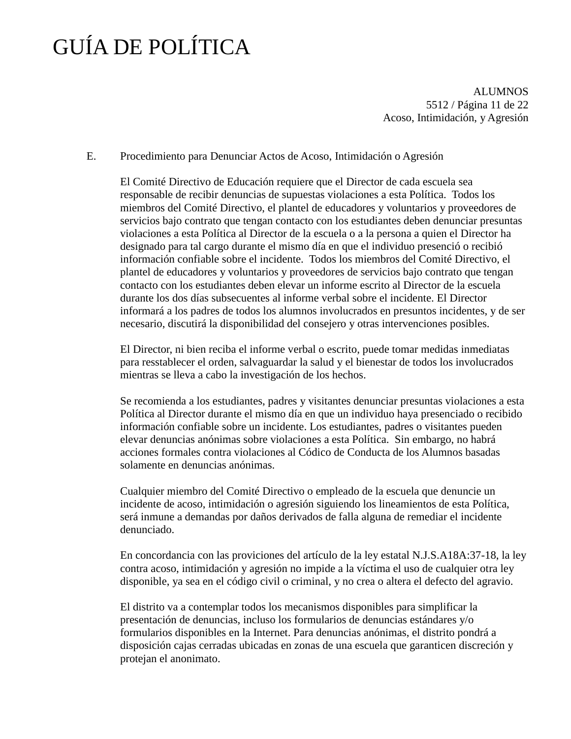ALUMNOS 5512 / Página 11 de 22 Acoso, Intimidación, y Agresión

### E. Procedimiento para Denunciar Actos de Acoso, Intimidación o Agresión

El Comité Directivo de Educación requiere que el Director de cada escuela sea responsable de recibir denuncias de supuestas violaciones a esta Política. Todos los miembros del Comité Directivo, el plantel de educadores y voluntarios y proveedores de servicios bajo contrato que tengan contacto con los estudiantes deben denunciar presuntas violaciones a esta Política al Director de la escuela o a la persona a quien el Director ha designado para tal cargo durante el mismo día en que el individuo presenció o recibió información confiable sobre el incidente. Todos los miembros del Comité Directivo, el plantel de educadores y voluntarios y proveedores de servicios bajo contrato que tengan contacto con los estudiantes deben elevar un informe escrito al Director de la escuela durante los dos días subsecuentes al informe verbal sobre el incidente. El Director informará a los padres de todos los alumnos involucrados en presuntos incidentes, y de ser necesario, discutirá la disponibilidad del consejero y otras intervenciones posibles.

El Director, ni bien reciba el informe verbal o escrito, puede tomar medidas inmediatas para resstablecer el orden, salvaguardar la salud y el bienestar de todos los involucrados mientras se lleva a cabo la investigación de los hechos.

Se recomienda a los estudiantes, padres y visitantes denunciar presuntas violaciones a esta Política al Director durante el mismo día en que un individuo haya presenciado o recibido información confiable sobre un incidente. Los estudiantes, padres o visitantes pueden elevar denuncias anónimas sobre violaciones a esta Política. Sin embargo, no habrá acciones formales contra violaciones al Códico de Conducta de los Alumnos basadas solamente en denuncias anónimas.

Cualquier miembro del Comité Directivo o empleado de la escuela que denuncie un incidente de acoso, intimidación o agresión siguiendo los lineamientos de esta Política, será inmune a demandas por daños derivados de falla alguna de remediar el incidente denunciado.

En concordancia con las proviciones del artículo de la ley estatal N.J.S.A18A:37-18, la ley contra acoso, intimidación y agresión no impide a la víctima el uso de cualquier otra ley disponible, ya sea en el código civil o criminal, y no crea o altera el defecto del agravio.

El distrito va a contemplar todos los mecanismos disponibles para simplificar la presentación de denuncias, incluso los formularios de denuncias estándares y/o formularios disponibles en la Internet. Para denuncias anónimas, el distrito pondrá a disposición cajas cerradas ubicadas en zonas de una escuela que garanticen discreción y protejan el anonimato.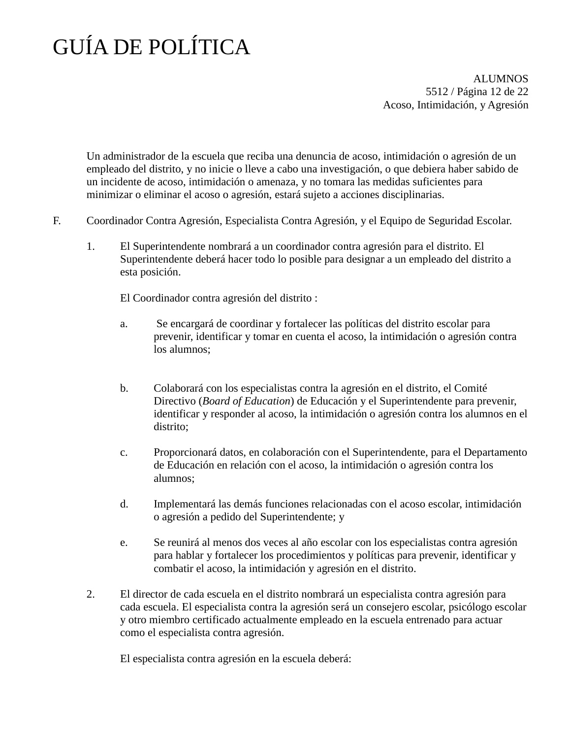ALUMNOS 5512 / Página 12 de 22 Acoso, Intimidación, y Agresión

Un administrador de la escuela que reciba una denuncia de acoso, intimidación o agresión de un empleado del distrito, y no inicie o lleve a cabo una investigación, o que debiera haber sabido de un incidente de acoso, intimidación o amenaza, y no tomara las medidas suficientes para minimizar o eliminar el acoso o agresión, estará sujeto a acciones disciplinarias.

- F. Coordinador Contra Agresión, Especialista Contra Agresión, y el Equipo de Seguridad Escolar.
	- 1. El Superintendente nombrará a un coordinador contra agresión para el distrito. El Superintendente deberá hacer todo lo posible para designar a un empleado del distrito a esta posición.

El Coordinador contra agresión del distrito :

- a. Se encargará de coordinar y fortalecer las políticas del distrito escolar para prevenir, identificar y tomar en cuenta el acoso, la intimidación o agresión contra los alumnos;
- b. Colaborará con los especialistas contra la agresión en el distrito, el Comité Directivo (*Board of Education*) de Educación y el Superintendente para prevenir, identificar y responder al acoso, la intimidación o agresión contra los alumnos en el distrito;
- c. Proporcionará datos, en colaboración con el Superintendente, para el Departamento de Educación en relación con el acoso, la intimidación o agresión contra los alumnos;
- d. Implementará las demás funciones relacionadas con el acoso escolar, intimidación o agresión a pedido del Superintendente; y
- e. Se reunirá al menos dos veces al año escolar con los especialistas contra agresión para hablar y fortalecer los procedimientos y políticas para prevenir, identificar y combatir el acoso, la intimidación y agresión en el distrito.
- 2. El director de cada escuela en el distrito nombrará un especialista contra agresión para cada escuela. El especialista contra la agresión será un consejero escolar, psicólogo escolar y otro miembro certificado actualmente empleado en la escuela entrenado para actuar como el especialista contra agresión.

El especialista contra agresión en la escuela deberá: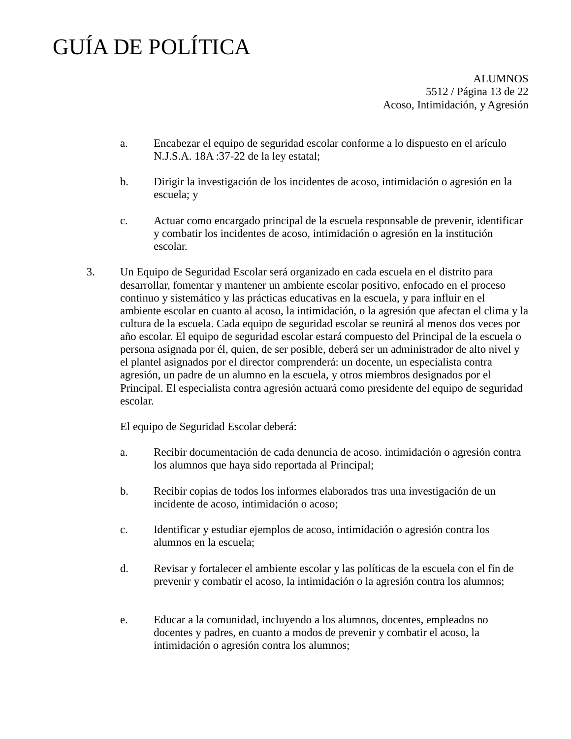**ALUMNOS** 5512 / Página 13 de 22 Acoso, Intimidación, y Agresión

- a. Encabezar el equipo de seguridad escolar conforme a lo dispuesto en el arículo N.J.S.A. 18A :37-22 de la ley estatal;
- b. Dirigir la investigación de los incidentes de acoso, intimidación o agresión en la escuela; y
- c. Actuar como encargado principal de la escuela responsable de prevenir, identificar y combatir los incidentes de acoso, intimidación o agresión en la institución escolar.
- 3. Un Equipo de Seguridad Escolar será organizado en cada escuela en el distrito para desarrollar, fomentar y mantener un ambiente escolar positivo, enfocado en el proceso continuo y sistemático y las prácticas educativas en la escuela, y para influir en el ambiente escolar en cuanto al acoso, la intimidación, o la agresión que afectan el clima y la cultura de la escuela. Cada equipo de seguridad escolar se reunirá al menos dos veces por año escolar. El equipo de seguridad escolar estará compuesto del Principal de la escuela o persona asignada por él, quien, de ser posible, deberá ser un administrador de alto nivel y el plantel asignados por el director comprenderá: un docente, un especialista contra agresión, un padre de un alumno en la escuela, y otros miembros designados por el Principal. El especialista contra agresión actuará como presidente del equipo de seguridad escolar.

El equipo de Seguridad Escolar deberá:

- a. Recibir documentación de cada denuncia de acoso. intimidación o agresión contra los alumnos que haya sido reportada al Principal;
- b. Recibir copias de todos los informes elaborados tras una investigación de un incidente de acoso, intimidación o acoso;
- c. Identificar y estudiar ejemplos de acoso, intimidación o agresión contra los alumnos en la escuela;
- d. Revisar y fortalecer el ambiente escolar y las políticas de la escuela con el fin de prevenir y combatir el acoso, la intimidación o la agresión contra los alumnos;
- e. Educar a la comunidad, incluyendo a los alumnos, docentes, empleados no docentes y padres, en cuanto a modos de prevenir y combatir el acoso, la intimidación o agresión contra los alumnos;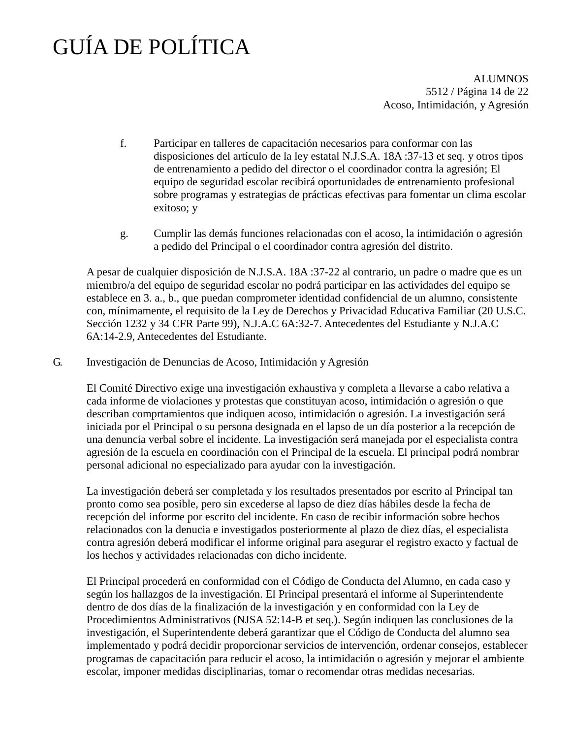ALUMNOS 5512 / Página 14 de 22 Acoso, Intimidación, y Agresión

- f. Participar en talleres de capacitación necesarios para conformar con las disposiciones del artículo de la ley estatal N.J.S.A. 18A :37-13 et seq. y otros tipos de entrenamiento a pedido del director o el coordinador contra la agresión; El equipo de seguridad escolar recibirá oportunidades de entrenamiento profesional sobre programas y estrategias de prácticas efectivas para fomentar un clima escolar exitoso; y
- g. Cumplir las demás funciones relacionadas con el acoso, la intimidación o agresión a pedido del Principal o el coordinador contra agresión del distrito.

A pesar de cualquier disposición de N.J.S.A. 18A :37-22 al contrario, un padre o madre que es un miembro/a del equipo de seguridad escolar no podrá participar en las actividades del equipo se establece en 3. a., b., que puedan comprometer identidad confidencial de un alumno, consistente con, mínimamente, el requisito de la Ley de Derechos y Privacidad Educativa Familiar (20 U.S.C. Sección 1232 y 34 CFR Parte 99), N.J.A.C 6A:32-7. Antecedentes del Estudiante y N.J.A.C 6A:14-2.9, Antecedentes del Estudiante.

G. Investigación de Denuncias de Acoso, Intimidación y Agresión

El Comité Directivo exige una investigación exhaustiva y completa a llevarse a cabo relativa a cada informe de violaciones y protestas que constituyan acoso, intimidación o agresión o que describan comprtamientos que indiquen acoso, intimidación o agresión. La investigación será iniciada por el Principal o su persona designada en el lapso de un día posterior a la recepción de una denuncia verbal sobre el incidente. La investigación será manejada por el especialista contra agresión de la escuela en coordinación con el Principal de la escuela. El principal podrá nombrar personal adicional no especializado para ayudar con la investigación.

La investigación deberá ser completada y los resultados presentados por escrito al Principal tan pronto como sea posible, pero sin excederse al lapso de diez días hábiles desde la fecha de recepción del informe por escrito del incidente. En caso de recibir información sobre hechos relacionados con la denucia e investigados posteriormente al plazo de diez días, el especialista contra agresión deberá modificar el informe original para asegurar el registro exacto y factual de los hechos y actividades relacionadas con dicho incidente.

El Principal procederá en conformidad con el Código de Conducta del Alumno, en cada caso y según los hallazgos de la investigación. El Principal presentará el informe al Superintendente dentro de dos días de la finalización de la investigación y en conformidad con la Ley de Procedimientos Administrativos (NJSA 52:14-B et seq.). Según indiquen las conclusiones de la investigación, el Superintendente deberá garantizar que el Código de Conducta del alumno sea implementado y podrá decidir proporcionar servicios de intervención, ordenar consejos, establecer programas de capacitación para reducir el acoso, la intimidación o agresión y mejorar el ambiente escolar, imponer medidas disciplinarias, tomar o recomendar otras medidas necesarias.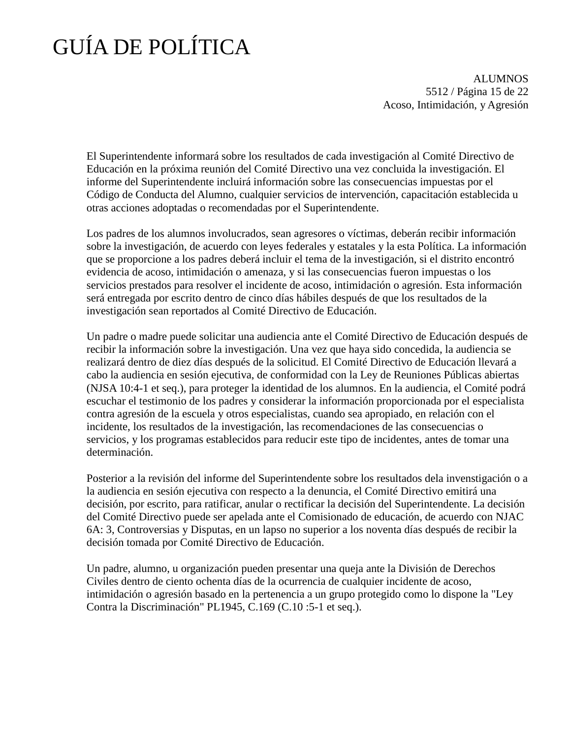ALUMNOS 5512 / Página 15 de 22 Acoso, Intimidación, y Agresión

El Superintendente informará sobre los resultados de cada investigación al Comité Directivo de Educación en la próxima reunión del Comité Directivo una vez concluida la investigación. El informe del Superintendente incluirá información sobre las consecuencias impuestas por el Código de Conducta del Alumno, cualquier servicios de intervención, capacitación establecida u otras acciones adoptadas o recomendadas por el Superintendente.

Los padres de los alumnos involucrados, sean agresores o víctimas, deberán recibir información sobre la investigación, de acuerdo con leyes federales y estatales y la esta Política. La información que se proporcione a los padres deberá incluir el tema de la investigación, si el distrito encontró evidencia de acoso, intimidación o amenaza, y si las consecuencias fueron impuestas o los servicios prestados para resolver el incidente de acoso, intimidación o agresión. Esta información será entregada por escrito dentro de cinco días hábiles después de que los resultados de la investigación sean reportados al Comité Directivo de Educación.

Un padre o madre puede solicitar una audiencia ante el Comité Directivo de Educación después de recibir la información sobre la investigación. Una vez que haya sido concedida, la audiencia se realizará dentro de diez días después de la solicitud. El Comité Directivo de Educación llevará a cabo la audiencia en sesión ejecutiva, de conformidad con la Ley de Reuniones Públicas abiertas (NJSA 10:4-1 et seq.), para proteger la identidad de los alumnos. En la audiencia, el Comité podrá escuchar el testimonio de los padres y considerar la información proporcionada por el especialista contra agresión de la escuela y otros especialistas, cuando sea apropiado, en relación con el incidente, los resultados de la investigación, las recomendaciones de las consecuencias o servicios, y los programas establecidos para reducir este tipo de incidentes, antes de tomar una determinación.

Posterior a la revisión del informe del Superintendente sobre los resultados dela invenstigación o a la audiencia en sesión ejecutiva con respecto a la denuncia, el Comité Directivo emitirá una decisión, por escrito, para ratificar, anular o rectificar la decisión del Superintendente. La decisión del Comité Directivo puede ser apelada ante el Comisionado de educación, de acuerdo con NJAC 6A: 3, Controversias y Disputas, en un lapso no superior a los noventa días después de recibir la decisión tomada por Comité Directivo de Educación.

Un padre, alumno, u organización pueden presentar una queja ante la División de Derechos Civiles dentro de ciento ochenta días de la ocurrencia de cualquier incidente de acoso, intimidación o agresión basado en la pertenencia a un grupo protegido como lo dispone la "Ley Contra la Discriminación" PL1945, C.169 (C.10 :5-1 et seq.).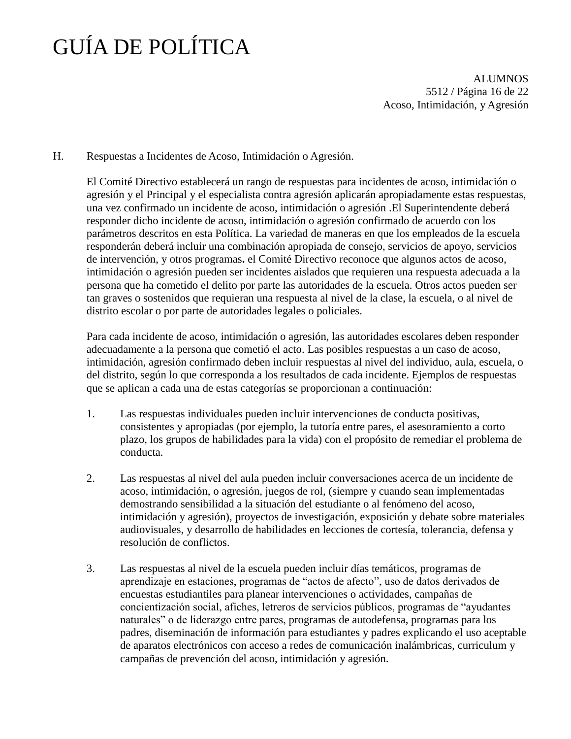**ALUMNOS** 5512 / Página 16 de 22 Acoso, Intimidación, y Agresión

H. Respuestas a Incidentes de Acoso, Intimidación o Agresión.

El Comité Directivo establecerá un rango de respuestas para incidentes de acoso, intimidación o agresión y el Principal y el especialista contra agresión aplicarán apropiadamente estas respuestas, una vez confirmado un incidente de acoso, intimidación o agresión .El Superintendente deberá responder dicho incidente de acoso, intimidación o agresión confirmado de acuerdo con los parámetros descritos en esta Política. La variedad de maneras en que los empleados de la escuela responderán deberá incluir una combinación apropiada de consejo, servicios de apoyo, servicios de intervención, y otros programas**.** el Comité Directivo reconoce que algunos actos de acoso, intimidación o agresión pueden ser incidentes aislados que requieren una respuesta adecuada a la persona que ha cometido el delito por parte las autoridades de la escuela. Otros actos pueden ser tan graves o sostenidos que requieran una respuesta al nivel de la clase, la escuela, o al nivel de distrito escolar o por parte de autoridades legales o policiales.

Para cada incidente de acoso, intimidación o agresión, las autoridades escolares deben responder adecuadamente a la persona que cometió el acto. Las posibles respuestas a un caso de acoso, intimidación, agresión confirmado deben incluir respuestas al nivel del individuo, aula, escuela, o del distrito, según lo que corresponda a los resultados de cada incidente. Ejemplos de respuestas que se aplican a cada una de estas categorías se proporcionan a continuación:

- 1. Las respuestas individuales pueden incluir intervenciones de conducta positivas, consistentes y apropiadas (por ejemplo, la tutoría entre pares, el asesoramiento a corto plazo, los grupos de habilidades para la vida) con el propósito de remediar el problema de conducta.
- 2. Las respuestas al nivel del aula pueden incluir conversaciones acerca de un incidente de acoso, intimidación, o agresión, juegos de rol, (siempre y cuando sean implementadas demostrando sensibilidad a la situación del estudiante o al fenómeno del acoso, intimidación y agresión), proyectos de investigación, exposición y debate sobre materiales audiovisuales, y desarrollo de habilidades en lecciones de cortesía, tolerancia, defensa y resolución de conflictos.
- 3. Las respuestas al nivel de la escuela pueden incluir días temáticos, programas de aprendizaje en estaciones, programas de "actos de afecto", uso de datos derivados de encuestas estudiantiles para planear intervenciones o actividades, campañas de concientización social, afiches, letreros de servicios públicos, programas de "ayudantes naturales" o de liderazgo entre pares, programas de autodefensa, programas para los padres, diseminación de información para estudiantes y padres explicando el uso aceptable de aparatos electrónicos con acceso a redes de comunicación inalámbricas, curriculum y campañas de prevención del acoso, intimidación y agresión.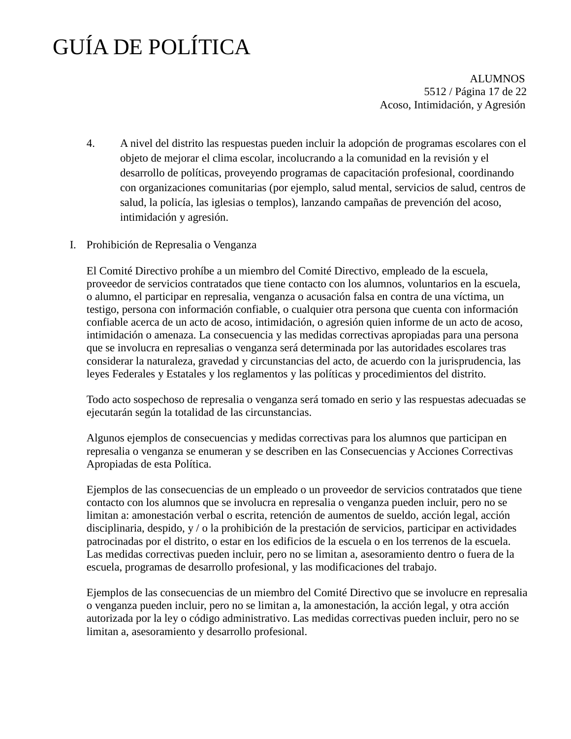ALUMNOS 5512 / Página 17 de 22 Acoso, Intimidación, y Agresión

- 4. A nivel del distrito las respuestas pueden incluir la adopción de programas escolares con el objeto de mejorar el clima escolar, incolucrando a la comunidad en la revisión y el desarrollo de políticas, proveyendo programas de capacitación profesional, coordinando con organizaciones comunitarias (por ejemplo, salud mental, servicios de salud, centros de salud, la policía, las iglesias o templos), lanzando campañas de prevención del acoso, intimidación y agresión.
- I. Prohibición de Represalia o Venganza

El Comité Directivo prohíbe a un miembro del Comité Directivo, empleado de la escuela, proveedor de servicios contratados que tiene contacto con los alumnos, voluntarios en la escuela, o alumno, el participar en represalia, venganza o acusación falsa en contra de una víctima, un testigo, persona con información confiable, o cualquier otra persona que cuenta con información confiable acerca de un acto de acoso, intimidación, o agresión quien informe de un acto de acoso, intimidación o amenaza. La consecuencia y las medidas correctivas apropiadas para una persona que se involucra en represalias o venganza será determinada por las autoridades escolares tras considerar la naturaleza, gravedad y circunstancias del acto, de acuerdo con la jurisprudencia, las leyes Federales y Estatales y los reglamentos y las políticas y procedimientos del distrito.

Todo acto sospechoso de represalia o venganza será tomado en serio y las respuestas adecuadas se ejecutarán según la totalidad de las circunstancias.

Algunos ejemplos de consecuencias y medidas correctivas para los alumnos que participan en represalia o venganza se enumeran y se describen en las Consecuencias y Acciones Correctivas Apropiadas de esta Política.

Ejemplos de las consecuencias de un empleado o un proveedor de servicios contratados que tiene contacto con los alumnos que se involucra en represalia o venganza pueden incluir, pero no se limitan a: amonestación verbal o escrita, retención de aumentos de sueldo, acción legal, acción disciplinaria, despido, y / o la prohibición de la prestación de servicios, participar en actividades patrocinadas por el distrito, o estar en los edificios de la escuela o en los terrenos de la escuela. Las medidas correctivas pueden incluir, pero no se limitan a, asesoramiento dentro o fuera de la escuela, programas de desarrollo profesional, y las modificaciones del trabajo.

Ejemplos de las consecuencias de un miembro del Comité Directivo que se involucre en represalia o venganza pueden incluir, pero no se limitan a, la amonestación, la acción legal, y otra acción autorizada por la ley o código administrativo. Las medidas correctivas pueden incluir, pero no se limitan a, asesoramiento y desarrollo profesional.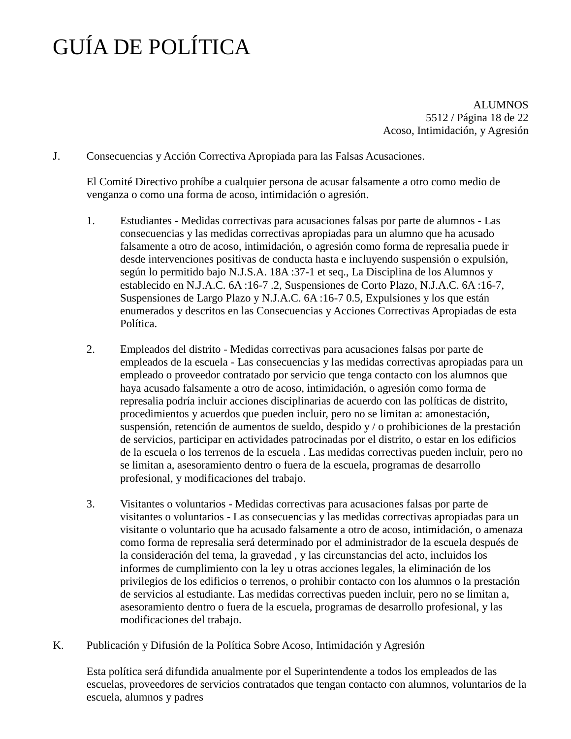ALUMNOS 5512 / Página 18 de 22 Acoso, Intimidación, y Agresión

J. Consecuencias y Acción Correctiva Apropiada para las Falsas Acusaciones.

El Comité Directivo prohíbe a cualquier persona de acusar falsamente a otro como medio de venganza o como una forma de acoso, intimidación o agresión.

- 1. Estudiantes Medidas correctivas para acusaciones falsas por parte de alumnos Las consecuencias y las medidas correctivas apropiadas para un alumno que ha acusado falsamente a otro de acoso, intimidación, o agresión como forma de represalia puede ir desde intervenciones positivas de conducta hasta e incluyendo suspensión o expulsión, según lo permitido bajo N.J.S.A. 18A :37-1 et seq., La Disciplina de los Alumnos y establecido en N.J.A.C. 6A :16-7 .2, Suspensiones de Corto Plazo, N.J.A.C. 6A :16-7, Suspensiones de Largo Plazo y N.J.A.C. 6A :16-7 0.5, Expulsiones y los que están enumerados y descritos en las Consecuencias y Acciones Correctivas Apropiadas de esta Política.
- 2. Empleados del distrito Medidas correctivas para acusaciones falsas por parte de empleados de la escuela - Las consecuencias y las medidas correctivas apropiadas para un empleado o proveedor contratado por servicio que tenga contacto con los alumnos que haya acusado falsamente a otro de acoso, intimidación, o agresión como forma de represalia podría incluir acciones disciplinarias de acuerdo con las políticas de distrito, procedimientos y acuerdos que pueden incluir, pero no se limitan a: amonestación, suspensión, retención de aumentos de sueldo, despido y / o prohibiciones de la prestación de servicios, participar en actividades patrocinadas por el distrito, o estar en los edificios de la escuela o los terrenos de la escuela . Las medidas correctivas pueden incluir, pero no se limitan a, asesoramiento dentro o fuera de la escuela, programas de desarrollo profesional, y modificaciones del trabajo.
- 3. Visitantes o voluntarios Medidas correctivas para acusaciones falsas por parte de visitantes o voluntarios - Las consecuencias y las medidas correctivas apropiadas para un visitante o voluntario que ha acusado falsamente a otro de acoso, intimidación, o amenaza como forma de represalia será determinado por el administrador de la escuela después de la consideración del tema, la gravedad , y las circunstancias del acto, incluidos los informes de cumplimiento con la ley u otras acciones legales, la eliminación de los privilegios de los edificios o terrenos, o prohibir contacto con los alumnos o la prestación de servicios al estudiante. Las medidas correctivas pueden incluir, pero no se limitan a, asesoramiento dentro o fuera de la escuela, programas de desarrollo profesional, y las modificaciones del trabajo.
- K. Publicación y Difusión de la Política Sobre Acoso, Intimidación y Agresión

Esta política será difundida anualmente por el Superintendente a todos los empleados de las escuelas, proveedores de servicios contratados que tengan contacto con alumnos, voluntarios de la escuela, alumnos y padres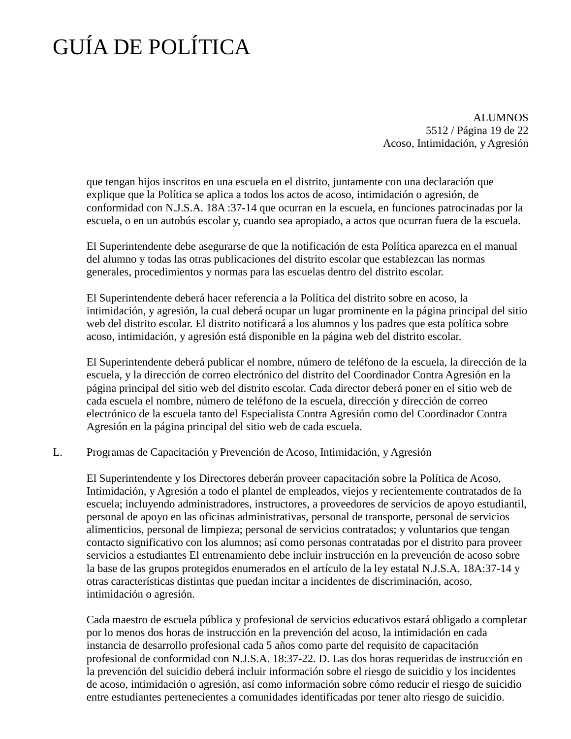ALUMNOS 5512 / Página 19 de 22 Acoso, Intimidación, y Agresión

que tengan hijos inscritos en una escuela en el distrito, juntamente con una declaración que explique que la Política se aplica a todos los actos de acoso, intimidación o agresión, de conformidad con N.J.S.A. 18A :37-14 que ocurran en la escuela, en funciones patrocinadas por la escuela, o en un autobús escolar y, cuando sea apropiado, a actos que ocurran fuera de la escuela.

El Superintendente debe asegurarse de que la notificación de esta Política aparezca en el manual del alumno y todas las otras publicaciones del distrito escolar que establezcan las normas generales, procedimientos y normas para las escuelas dentro del distrito escolar.

El Superintendente deberá hacer referencia a la Política del distrito sobre en acoso, la intimidación, y agresión, la cual deberá ocupar un lugar prominente en la página principal del sitio web del distrito escolar. El distrito notificará a los alumnos y los padres que esta política sobre acoso, intimidación, y agresión está disponible en la página web del distrito escolar.

El Superintendente deberá publicar el nombre, número de teléfono de la escuela, la dirección de la escuela, y la dirección de correo electrónico del distrito del Coordinador Contra Agresión en la página principal del sitio web del distrito escolar. Cada director deberá poner en el sitio web de cada escuela el nombre, número de teléfono de la escuela, dirección y dirección de correo electrónico de la escuela tanto del Especialista Contra Agresión como del Coordinador Contra Agresión en la página principal del sitio web de cada escuela.

### L. Programas de Capacitación y Prevención de Acoso, Intimidación, y Agresión

El Superintendente y los Directores deberán proveer capacitación sobre la Política de Acoso, Intimidación, y Agresión a todo el plantel de empleados, viejos y recientemente contratados de la escuela; incluyendo administradores, instructores, a proveedores de servicios de apoyo estudiantil, personal de apoyo en las oficinas administrativas, personal de transporte, personal de servicios alimenticios, personal de limpieza; personal de servicios contratados; y voluntarios que tengan contacto significativo con los alumnos; así como personas contratadas por el distrito para proveer servicios a estudiantes El entrenamiento debe incluir instrucción en la prevención de acoso sobre la base de las grupos protegidos enumerados en el artículo de la ley estatal N.J.S.A. 18A:37-14 y otras características distintas que puedan incitar a incidentes de discriminación, acoso, intimidación o agresión.

Cada maestro de escuela pública y profesional de servicios educativos estará obligado a completar por lo menos dos horas de instrucción en la prevención del acoso, la intimidación en cada instancia de desarrollo profesional cada 5 años como parte del requisito de capacitación profesional de conformidad con N.J.S.A. 18:37-22. D. Las dos horas requeridas de instrucción en la prevención del suicidio deberá incluir información sobre el riesgo de suicidio y los incidentes de acoso, intimidación o agresión, así como información sobre cómo reducir el riesgo de suicidio entre estudiantes pertenecientes a comunidades identificadas por tener alto riesgo de suicidio.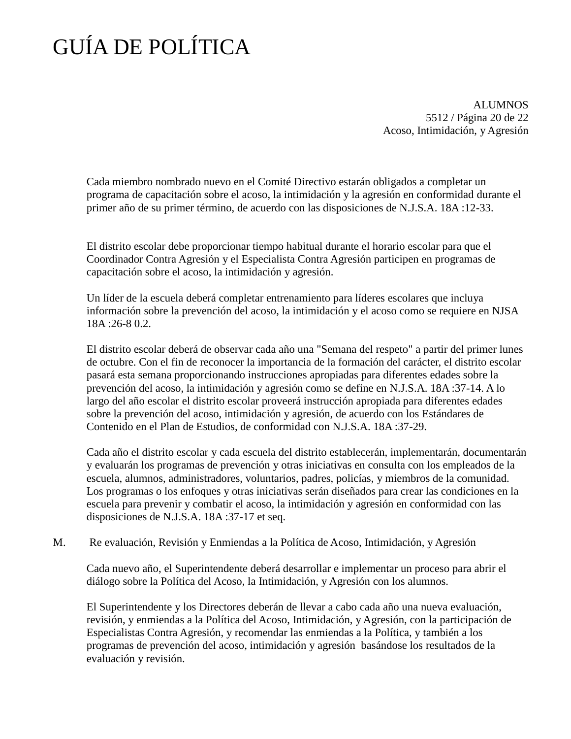ALUMNOS 5512 / Página 20 de 22 Acoso, Intimidación, y Agresión

Cada miembro nombrado nuevo en el Comité Directivo estarán obligados a completar un programa de capacitación sobre el acoso, la intimidación y la agresión en conformidad durante el primer año de su primer término, de acuerdo con las disposiciones de N.J.S.A. 18A :12-33.

El distrito escolar debe proporcionar tiempo habitual durante el horario escolar para que el Coordinador Contra Agresión y el Especialista Contra Agresión participen en programas de capacitación sobre el acoso, la intimidación y agresión.

Un líder de la escuela deberá completar entrenamiento para líderes escolares que incluya información sobre la prevención del acoso, la intimidación y el acoso como se requiere en NJSA 18A :26-8 0.2.

El distrito escolar deberá de observar cada año una "Semana del respeto" a partir del primer lunes de octubre. Con el fin de reconocer la importancia de la formación del carácter, el distrito escolar pasará esta semana proporcionando instrucciones apropiadas para diferentes edades sobre la prevención del acoso, la intimidación y agresión como se define en N.J.S.A. 18A :37-14. A lo largo del año escolar el distrito escolar proveerá instrucción apropiada para diferentes edades sobre la prevención del acoso, intimidación y agresión, de acuerdo con los Estándares de Contenido en el Plan de Estudios, de conformidad con N.J.S.A. 18A :37-29.

Cada año el distrito escolar y cada escuela del distrito establecerán, implementarán, documentarán y evaluarán los programas de prevención y otras iniciativas en consulta con los empleados de la escuela, alumnos, administradores, voluntarios, padres, policías, y miembros de la comunidad. Los programas o los enfoques y otras iniciativas serán diseñados para crear las condiciones en la escuela para prevenir y combatir el acoso, la intimidación y agresión en conformidad con las disposiciones de N.J.S.A. 18A :37-17 et seq.

M. Re evaluación, Revisión y Enmiendas a la Política de Acoso, Intimidación, y Agresión

Cada nuevo año, el Superintendente deberá desarrollar e implementar un proceso para abrir el diálogo sobre la Política del Acoso, la Intimidación, y Agresión con los alumnos.

El Superintendente y los Directores deberán de llevar a cabo cada año una nueva evaluación, revisión, y enmiendas a la Política del Acoso, Intimidación, y Agresión, con la participación de Especialistas Contra Agresión, y recomendar las enmiendas a la Política, y también a los programas de prevención del acoso, intimidación y agresión basándose los resultados de la evaluación y revisión.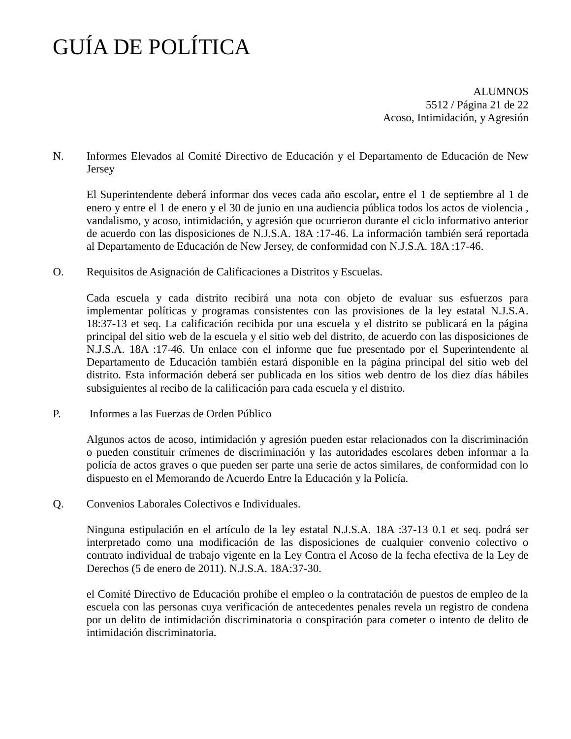ALUMNOS 5512 / Página 21 de 22 Acoso, Intimidación, y Agresión

N. Informes Elevados al Comité Directivo de Educación y el Departamento de Educación de New Jersey

El Superintendente deberá informar dos veces cada año escolar**,** entre el 1 de septiembre al 1 de enero y entre el 1 de enero y el 30 de junio en una audiencia pública todos los actos de violencia , vandalismo, y acoso, intimidación, y agresión que ocurrieron durante el ciclo informativo anterior de acuerdo con las disposiciones de N.J.S.A. 18A :17-46. La información también será reportada al Departamento de Educación de New Jersey, de conformidad con N.J.S.A. 18A :17-46.

O. Requisitos de Asignación de Calificaciones a Distritos y Escuelas.

Cada escuela y cada distrito recibirá una nota con objeto de evaluar sus esfuerzos para implementar políticas y programas consistentes con las provisiones de la ley estatal N.J.S.A. 18:37-13 et seq. La calificación recibida por una escuela y el distrito se publicará en la página principal del sitio web de la escuela y el sitio web del distrito, de acuerdo con las disposiciones de N.J.S.A. 18A :17-46. Un enlace con el informe que fue presentado por el Superintendente al Departamento de Educación también estará disponible en la página principal del sitio web del distrito. Esta información deberá ser publicada en los sitios web dentro de los diez días hábiles subsiguientes al recibo de la calificación para cada escuela y el distrito.

P. Informes a las Fuerzas de Orden Público

Algunos actos de acoso, intimidación y agresión pueden estar relacionados con la discriminación o pueden constituir crímenes de discriminación y las autoridades escolares deben informar a la policía de actos graves o que pueden ser parte una serie de actos similares, de conformidad con lo dispuesto en el Memorando de Acuerdo Entre la Educación y la Policía.

Q. Convenios Laborales Colectivos e Individuales.

Ninguna estipulación en el artículo de la ley estatal N.J.S.A. 18A :37-13 0.1 et seq. podrá ser interpretado como una modificación de las disposiciones de cualquier convenio colectivo o contrato individual de trabajo vigente en la Ley Contra el Acoso de la fecha efectiva de la Ley de Derechos (5 de enero de 2011). N.J.S.A. 18A:37-30.

el Comité Directivo de Educación prohíbe el empleo o la contratación de puestos de empleo de la escuela con las personas cuya verificación de antecedentes penales revela un registro de condena por un delito de intimidación discriminatoria o conspiración para cometer o intento de delito de intimidación discriminatoria.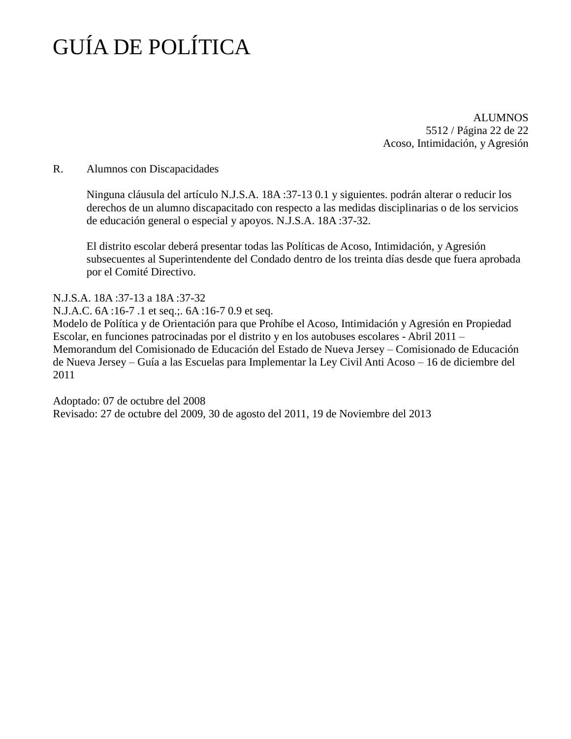ALUMNOS 5512 / Página 22 de 22 Acoso, Intimidación, y Agresión

### R. Alumnos con Discapacidades

Ninguna cláusula del artículo N.J.S.A. 18A :37-13 0.1 y siguientes. podrán alterar o reducir los derechos de un alumno discapacitado con respecto a las medidas disciplinarias o de los servicios de educación general o especial y apoyos. N.J.S.A. 18A :37-32.

El distrito escolar deberá presentar todas las Políticas de Acoso, Intimidación, y Agresión subsecuentes al Superintendente del Condado dentro de los treinta días desde que fuera aprobada por el Comité Directivo.

N.J.S.A. 18A :37-13 a 18A :37-32

N.J.A.C. 6A :16-7 .1 et seq.;. 6A :16-7 0.9 et seq.

Modelo de Política y de Orientación para que Prohíbe el Acoso, Intimidación y Agresión en Propiedad Escolar, en funciones patrocinadas por el distrito y en los autobuses escolares - Abril 2011 – Memorandum del Comisionado de Educación del Estado de Nueva Jersey – Comisionado de Educación de Nueva Jersey – Guía a las Escuelas para Implementar la Ley Civil Anti Acoso – 16 de diciembre del 2011

Adoptado: 07 de octubre del 2008 Revisado: 27 de octubre del 2009, 30 de agosto del 2011, 19 de Noviembre del 2013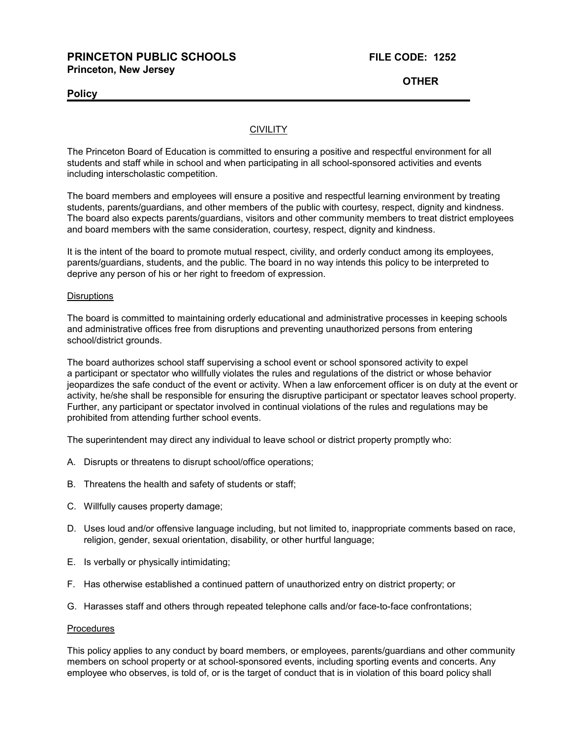### **PRINCETON PUBLIC SCHOOLS FILE CODE: 1252 Princeton, New Jersey**

**Policy**

**OTHER**

### **CIVILITY**

The Princeton Board of Education is committed to ensuring a positive and respectful environment for all students and staff while in school and when participating in all school-sponsored activities and events including interscholastic competition.

The board members and employees will ensure a positive and respectful learning environment by treating students, parents/guardians, and other members of the public with courtesy, respect, dignity and kindness. The board also expects parents/guardians, visitors and other community members to treat district employees and board members with the same consideration, courtesy, respect, dignity and kindness.

It is the intent of the board to promote mutual respect, civility, and orderly conduct among its employees, parents/guardians, students, and the public. The board in no way intends this policy to be interpreted to deprive any person of his or her right to freedom of expression.

### **Disruptions**

The board is committed to maintaining orderly educational and administrative processes in keeping schools and administrative offices free from disruptions and preventing unauthorized persons from entering school/district grounds.

The board authorizes school staff supervising a school event or school sponsored activity to expel a participant or spectator who willfully violates the rules and regulations of the district or whose behavior jeopardizes the safe conduct of the event or activity. When a law enforcement officer is on duty at the event or activity, he/she shall be responsible for ensuring the disruptive participant or spectator leaves school property. Further, any participant or spectator involved in continual violations of the rules and regulations may be prohibited from attending further school events.

The superintendent may direct any individual to leave school or district property promptly who:

- A. Disrupts or threatens to disrupt school/office operations;
- B. Threatens the health and safety of students or staff;
- C. Willfully causes property damage;
- D. Uses loud and/or offensive language including, but not limited to, inappropriate comments based on race, religion, gender, sexual orientation, disability, or other hurtful language;
- E. Is verbally or physically intimidating;
- F. Has otherwise established a continued pattern of unauthorized entry on district property; or
- G. Harasses staff and others through repeated telephone calls and/or face-to-face confrontations;

### Procedures

This policy applies to any conduct by board members, or employees, parents/guardians and other community members on school property or at school-sponsored events, including sporting events and concerts. Any employee who observes, is told of, or is the target of conduct that is in violation of this board policy shall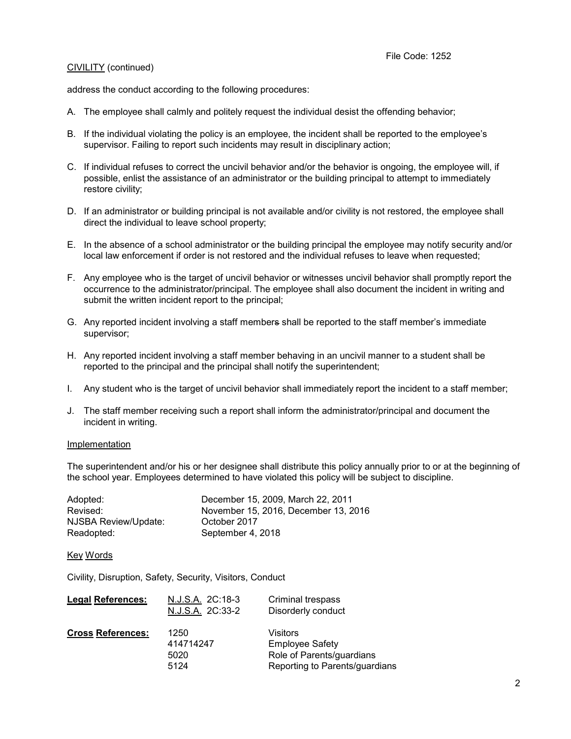### CIVILITY (continued)

address the conduct according to the following procedures:

- A. The employee shall calmly and politely request the individual desist the offending behavior;
- B. If the individual violating the policy is an employee, the incident shall be reported to the employee's supervisor. Failing to report such incidents may result in disciplinary action;
- C. If individual refuses to correct the uncivil behavior and/or the behavior is ongoing, the employee will, if possible, enlist the assistance of an administrator or the building principal to attempt to immediately restore civility;
- D. If an administrator or building principal is not available and/or civility is not restored, the employee shall direct the individual to leave school property;
- E. In the absence of a school administrator or the building principal the employee may notify security and/or local law enforcement if order is not restored and the individual refuses to leave when requested;
- F. Any employee who is the target of uncivil behavior or witnesses uncivil behavior shall promptly report the occurrence to the administrator/principal. The employee shall also document the incident in writing and submit the written incident report to the principal;
- G. Any reported incident involving a staff members shall be reported to the staff member's immediate supervisor;
- H. Any reported incident involving a staff member behaving in an uncivil manner to a student shall be reported to the principal and the principal shall notify the superintendent;
- I. Any student who is the target of uncivil behavior shall immediately report the incident to a staff member;
- J. The staff member receiving such a report shall inform the administrator/principal and document the incident in writing.

### Implementation

The superintendent and/or his or her designee shall distribute this policy annually prior to or at the beginning of the school year. Employees determined to have violated this policy will be subject to discipline.

| Adopted:             | December 15, 2009, March 22, 2011    |
|----------------------|--------------------------------------|
| Revised:             | November 15, 2016. December 13, 2016 |
| NJSBA Review/Update: | October 2017                         |
| Readopted:           | September 4, 2018                    |

### Key Words

Civility, Disruption, Safety, Security, Visitors, Conduct

| <b>Legal References:</b> | N.J.S.A. 2C:18-3<br>N.J.S.A. 2C:33-2 | Criminal trespass<br>Disorderly conduct                                                           |
|--------------------------|--------------------------------------|---------------------------------------------------------------------------------------------------|
| <b>Cross References:</b> | 1250<br>414714247<br>5020<br>5124    | Visitors<br><b>Employee Safety</b><br>Role of Parents/guardians<br>Reporting to Parents/guardians |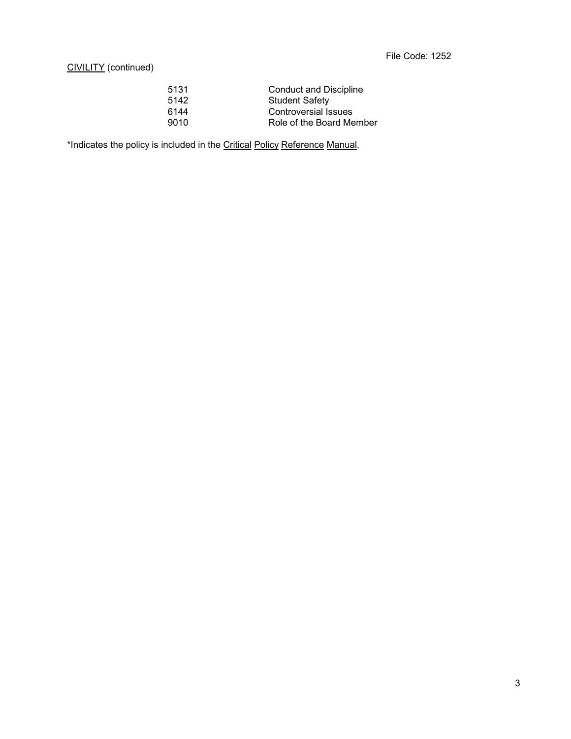### CIVILITY (continued)

| 5131 | <b>Conduct and Discipline</b> |
|------|-------------------------------|
| 5142 | <b>Student Safety</b>         |
| 6144 | Controversial Issues          |
| 9010 | Role of the Board Member      |
|      |                               |

\*Indicates the policy is included in the Critical Policy Reference Manual.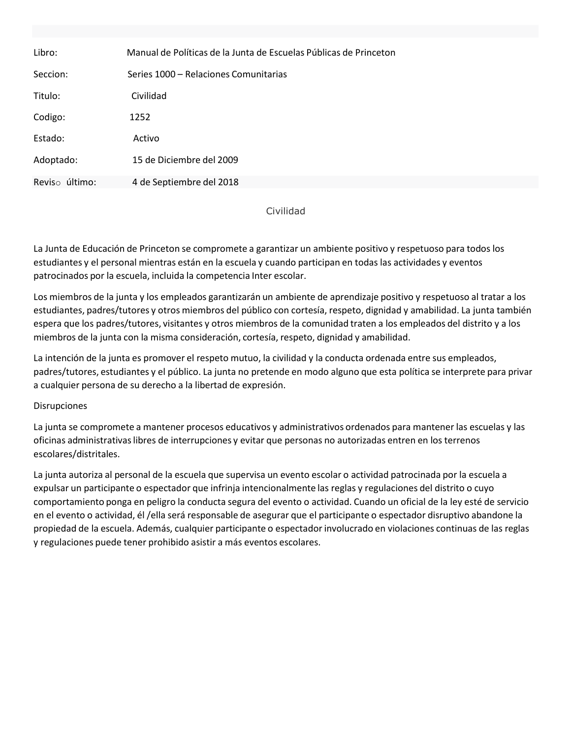| Libro:         | Manual de Políticas de la Junta de Escuelas Públicas de Princeton |  |
|----------------|-------------------------------------------------------------------|--|
| Seccion:       | Series 1000 – Relaciones Comunitarias                             |  |
| Titulo:        | Civilidad                                                         |  |
| Codigo:        | 1252                                                              |  |
| Estado:        | Activo                                                            |  |
| Adoptado:      | 15 de Diciembre del 2009                                          |  |
| Reviso último: | 4 de Septiembre del 2018                                          |  |

Civilidad

La Junta de Educación de Princeton se compromete a garantizar un ambiente positivo y respetuoso para todos los estudiantes y el personal mientras están en la escuela y cuando participan en todas las actividades y eventos patrocinados por la escuela, incluida la competencia Inter escolar.

Los miembros de la junta y los empleados garantizarán un ambiente de aprendizaje positivo y respetuoso al tratar a los estudiantes, padres/tutores y otros miembros del público con cortesía, respeto, dignidad y amabilidad. La junta también espera que los padres/tutores, visitantes y otros miembros de la comunidad traten a los empleados del distrito y a los miembros de la junta con la misma consideración, cortesía, respeto, dignidad y amabilidad.

La intención de la junta es promover el respeto mutuo, la civilidad y la conducta ordenada entre sus empleados, padres/tutores, estudiantes y el público. La junta no pretende en modo alguno que esta política se interprete para privar a cualquier persona de su derecho a la libertad de expresión.

### Disrupciones

La junta se compromete a mantener procesos educativos y administrativos ordenados para mantener las escuelas y las oficinas administrativaslibres de interrupciones y evitar que personas no autorizadas entren en los terrenos escolares/distritales.

La junta autoriza al personal de la escuela que supervisa un evento escolar o actividad patrocinada por la escuela a expulsar un participante o espectador que infrinja intencionalmente las reglas y regulaciones del distrito o cuyo comportamiento ponga en peligro la conducta segura del evento o actividad. Cuando un oficial de la ley esté de servicio en el evento o actividad, él /ella será responsable de asegurar que el participante o espectador disruptivo abandone la propiedad de la escuela. Además, cualquier participante o espectadorinvolucrado en violaciones continuas de las reglas y regulaciones puede tener prohibido asistir a más eventos escolares.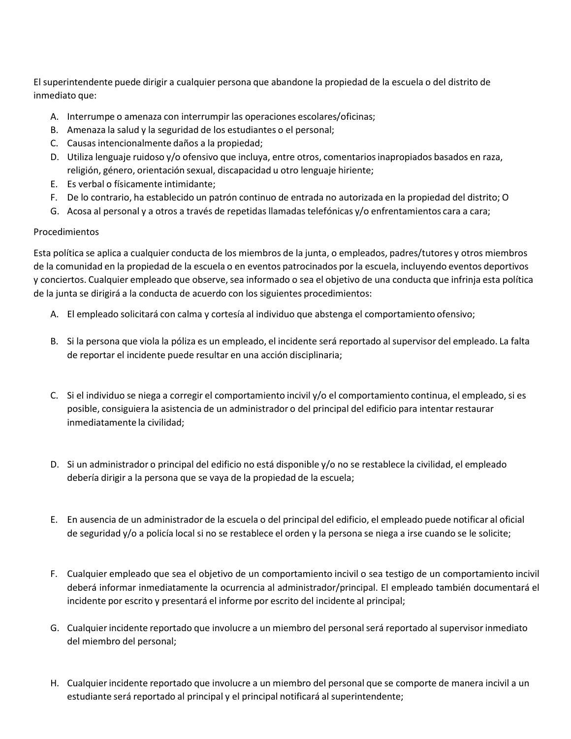El superintendente puede dirigir a cualquier persona que abandone la propiedad de la escuela o del distrito de inmediato que:

- A. Interrumpe o amenaza con interrumpir las operaciones escolares/oficinas;
- B. Amenaza la salud y la seguridad de los estudiantes o el personal;
- C. Causas intencionalmente daños a la propiedad;
- D. Utiliza lenguaje ruidoso y/o ofensivo que incluya, entre otros, comentariosinapropiados basados en raza, religión, género, orientación sexual, discapacidad u otro lenguaje hiriente;
- E. Es verbal o físicamente intimidante;
- F. De lo contrario, ha establecido un patrón continuo de entrada no autorizada en la propiedad del distrito; O
- G. Acosa al personal y a otros a través de repetidas llamadas telefónicas y/o enfrentamientos cara a cara;

### Procedimientos

Esta política se aplica a cualquier conducta de los miembros de la junta, o empleados, padres/tutores y otros miembros de la comunidad en la propiedad de la escuela o en eventos patrocinados por la escuela, incluyendo eventos deportivos y conciertos. Cualquier empleado que observe, sea informado o sea el objetivo de una conducta que infrinja esta política de la junta se dirigirá a la conducta de acuerdo con los siguientes procedimientos:

- A. El empleado solicitará con calma y cortesía al individuo que abstenga el comportamiento ofensivo;
- B. Si la persona que viola la póliza es un empleado, el incidente será reportado al supervisor del empleado. La falta de reportar el incidente puede resultar en una acción disciplinaria;
- C. Si el individuo se niega a corregir el comportamiento incivil y/o el comportamiento continua, el empleado, si es posible, consiguiera la asistencia de un administrador o del principal del edificio para intentar restaurar inmediatamente la civilidad;
- D. Si un administrador o principal del edificio no está disponible y/o no se restablece la civilidad, el empleado debería dirigir a la persona que se vaya de la propiedad de la escuela;
- E. En ausencia de un administrador de la escuela o del principal del edificio, el empleado puede notificar al oficial de seguridad y/o a policía local si no se restablece el orden y la persona se niega a irse cuando se le solicite;
- F. Cualquier empleado que sea el objetivo de un comportamiento incivil o sea testigo de un comportamiento incivil deberá informar inmediatamente la ocurrencia al administrador/principal. El empleado también documentará el incidente por escrito y presentará el informe por escrito del incidente al principal;
- G. Cualquier incidente reportado que involucre a un miembro del personalserá reportado al supervisor inmediato del miembro del personal;
- H. Cualquier incidente reportado que involucre a un miembro del personal que se comporte de manera incivil a un estudiante será reportado al principal y el principal notificará al superintendente;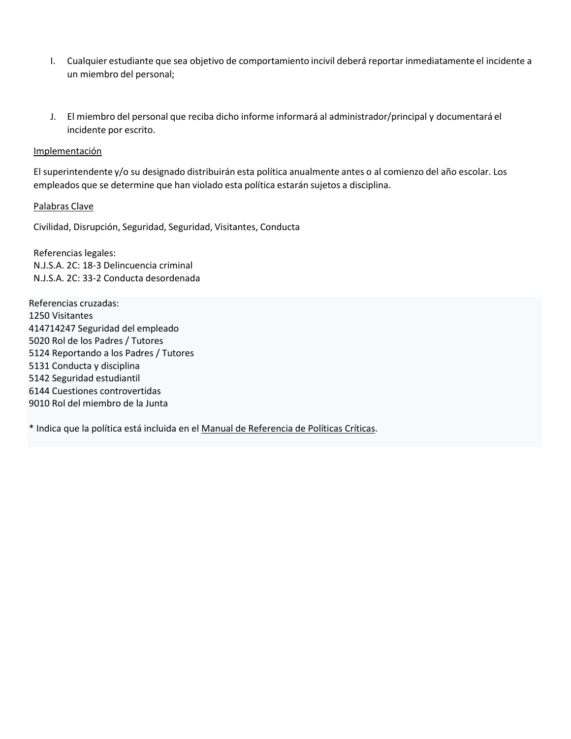- I. Cualquier estudiante que sea objetivo de comportamiento incivil deberá reportar inmediatamente el incidente a un miembro del personal;
- J. El miembro del personal que reciba dicho informe informará al administrador/principal y documentará el incidente por escrito.

### Implementación

El superintendente y/o su designado distribuirán esta política anualmente antes o al comienzo del año escolar. Los empleados que se determine que han violado esta política estarán sujetos a disciplina.

### Palabras Clave

Civilidad, Disrupción, Seguridad, Seguridad, Visitantes, Conducta

Referencias legales: N.J.S.A. 2C: 18-3 Delincuencia criminal N.J.S.A. 2C: 33-2 Conducta desordenada

Referencias cruzadas: 1250 Visitantes 414714247 Seguridad del empleado 5020 Rol de los Padres / Tutores 5124 Reportando a los Padres / Tutores 5131 Conducta y disciplina 5142 Seguridad estudiantil 6144 Cuestiones controvertidas 9010 Rol del miembro de la Junta

\* Indica que la política está incluida en el Manual de Referencia de Políticas Críticas.